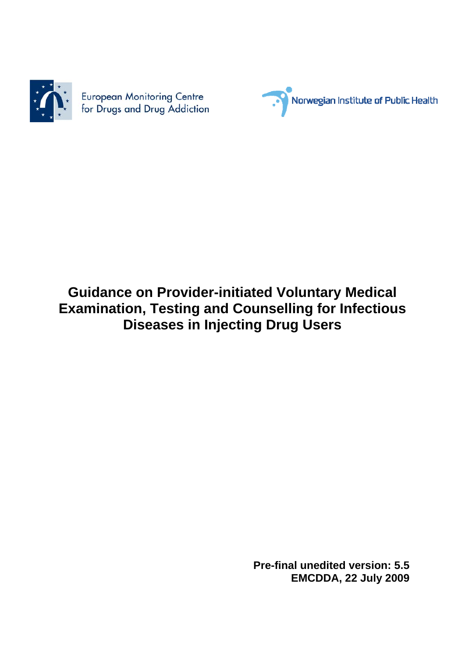

European Monitoring Centre<br>for Drugs and Drug Addiction



# **Guidance on Provider-initiated Voluntary Medical Examination, Testing and Counselling for Infectious Diseases in Injecting Drug Users**

 **Pre-final unedited version: 5.5 EMCDDA, 22 July 2009**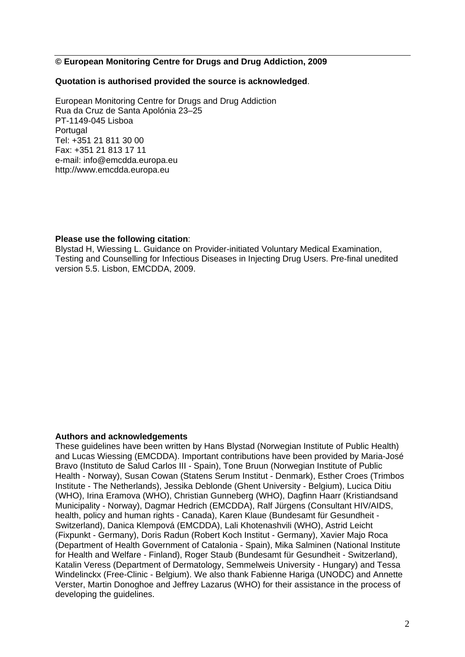#### **© European Monitoring Centre for Drugs and Drug Addiction, 2009**

#### **Quotation is authorised provided the source is acknowledged**.

European Monitoring Centre for Drugs and Drug Addiction Rua da Cruz de Santa Apolónia 23–25 PT-1149-045 Lisboa Portugal Tel: +351 21 811 30 00 Fax: +351 21 813 17 11 e-mail: info@emcdda.europa.eu http://www.emcdda.europa.eu

#### **Please use the following citation**:

Blystad H, Wiessing L. Guidance on Provider-initiated Voluntary Medical Examination, Testing and Counselling for Infectious Diseases in Injecting Drug Users. Pre-final unedited version 5.5. Lisbon, EMCDDA, 2009.

#### **Authors and acknowledgements**

These guidelines have been written by Hans Blystad (Norwegian Institute of Public Health) and Lucas Wiessing (EMCDDA). Important contributions have been provided by Maria-José Bravo (Instituto de Salud Carlos III - Spain), Tone Bruun (Norwegian Institute of Public Health - Norway), Susan Cowan (Statens Serum Institut - Denmark), Esther Croes (Trimbos Institute - The Netherlands), Jessika Deblonde (Ghent University - Belgium), Lucica Ditiu (WHO), Irina Eramova (WHO), Christian Gunneberg (WHO), Dagfinn Haarr (Kristiandsand Municipality - Norway), Dagmar Hedrich (EMCDDA), Ralf Jürgens (Consultant HIV/AIDS, health, policy and human rights - Canada), Karen Klaue (Bundesamt für Gesundheit - Switzerland), Danica Klempová (EMCDDA), Lali Khotenashvili (WHO), Astrid Leicht (Fixpunkt - Germany), Doris Radun (Robert Koch Institut - Germany), Xavier Majo Roca (Department of Health Government of Catalonia - Spain), Mika Salminen (National Institute for Health and Welfare - Finland), Roger Staub (Bundesamt für Gesundheit - Switzerland), Katalin Veress (Department of Dermatology, Semmelweis University - Hungary) and Tessa Windelinckx (Free-Clinic - Belgium). We also thank Fabienne Hariga (UNODC) and Annette Verster, Martin Donoghoe and Jeffrey Lazarus (WHO) for their assistance in the process of developing the guidelines.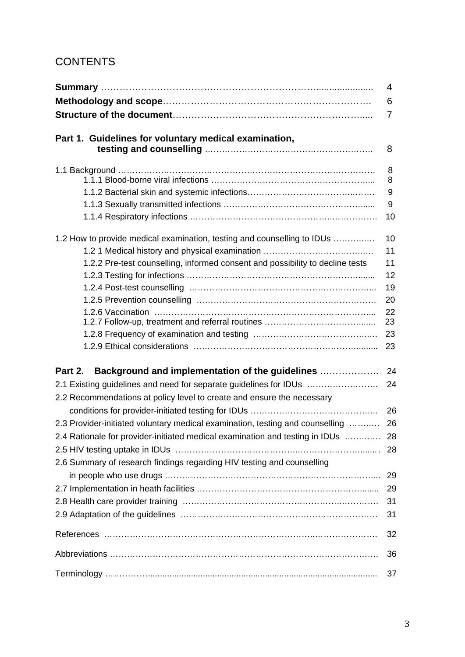## **CONTENTS**

|                                                                                  | 4  |
|----------------------------------------------------------------------------------|----|
|                                                                                  | 6  |
|                                                                                  | 7  |
|                                                                                  |    |
| Part 1. Guidelines for voluntary medical examination,                            |    |
|                                                                                  | 8  |
|                                                                                  | 8  |
|                                                                                  | 8  |
|                                                                                  | 9  |
|                                                                                  | 9  |
|                                                                                  | 10 |
| 1.2 How to provide medical examination, testing and counselling to IDUs          | 10 |
|                                                                                  | 11 |
| 1.2.2 Pre-test counselling, informed consent and possibility to decline tests    | 11 |
|                                                                                  | 12 |
|                                                                                  | 19 |
|                                                                                  | 20 |
|                                                                                  | 22 |
|                                                                                  | 23 |
|                                                                                  | 23 |
|                                                                                  | 23 |
| Background and implementation of the guidelines<br>Part 2.                       | 24 |
| 2.1 Existing guidelines and need for separate guidelines for IDUs                | 24 |
| 2.2 Recommendations at policy level to create and ensure the necessary           |    |
|                                                                                  | 26 |
| 2.3 Provider-initiated voluntary medical examination, testing and counselling    | 26 |
|                                                                                  |    |
| 2.4 Rationale for provider-initiated medical examination and testing in IDUs  28 |    |
|                                                                                  |    |
| 2.6 Summary of research findings regarding HIV testing and counselling           |    |
|                                                                                  | 29 |
|                                                                                  | 29 |
|                                                                                  | 31 |
|                                                                                  | 31 |
|                                                                                  | 32 |
|                                                                                  | 36 |
|                                                                                  | 37 |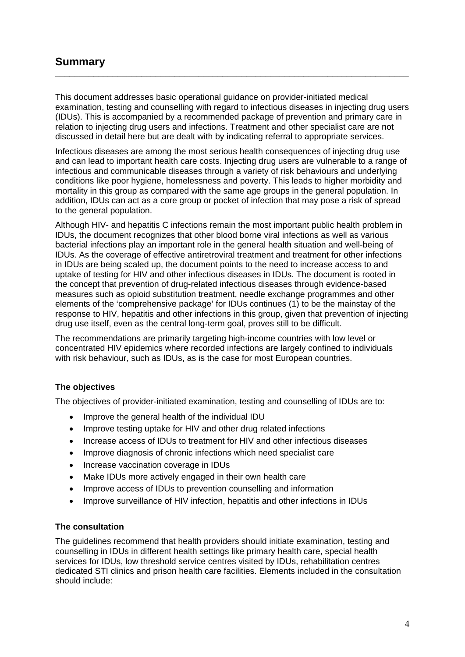## **Summary**

This document addresses basic operational guidance on provider-initiated medical examination, testing and counselling with regard to infectious diseases in injecting drug users (IDUs). This is accompanied by a recommended package of prevention and primary care in relation to injecting drug users and infections. Treatment and other specialist care are not discussed in detail here but are dealt with by indicating referral to appropriate services.

**\_\_\_\_\_\_\_\_\_\_\_\_\_\_\_\_\_\_\_\_\_\_\_\_\_\_\_\_\_\_\_\_\_\_\_\_\_\_\_\_\_\_\_\_\_\_\_\_\_\_\_\_\_\_\_\_\_\_\_\_\_\_\_\_\_\_\_\_\_\_\_\_\_\_** 

Infectious diseases are among the most serious health consequences of injecting drug use and can lead to important health care costs. Injecting drug users are vulnerable to a range of infectious and communicable diseases through a variety of risk behaviours and underlying conditions like poor hygiene, homelessness and poverty. This leads to higher morbidity and mortality in this group as compared with the same age groups in the general population. In addition, IDUs can act as a core group or pocket of infection that may pose a risk of spread to the general population.

Although HIV- and hepatitis C infections remain the most important public health problem in IDUs, the document recognizes that other blood borne viral infections as well as various bacterial infections play an important role in the general health situation and well-being of IDUs. As the coverage of effective antiretroviral treatment and treatment for other infections in IDUs are being scaled up, the document points to the need to increase access to and uptake of testing for HIV and other infectious diseases in IDUs. The document is rooted in the concept that prevention of drug-related infectious diseases through evidence-based measures such as opioid substitution treatment, needle exchange programmes and other elements of the 'comprehensive package' for IDUs continues (1) to be the mainstay of the response to HIV, hepatitis and other infections in this group, given that prevention of injecting drug use itself, even as the central long-term goal, proves still to be difficult.

The recommendations are primarily targeting high-income countries with low level or concentrated HIV epidemics where recorded infections are largely confined to individuals with risk behaviour, such as IDUs, as is the case for most European countries.

### **The objectives**

The objectives of provider-initiated examination, testing and counselling of IDUs are to:

- Improve the general health of the individual IDU
- Improve testing uptake for HIV and other drug related infections
- Increase access of IDUs to treatment for HIV and other infectious diseases
- Improve diagnosis of chronic infections which need specialist care
- Increase vaccination coverage in IDUs
- Make IDUs more actively engaged in their own health care
- Improve access of IDUs to prevention counselling and information
- Improve surveillance of HIV infection, hepatitis and other infections in IDUs

#### **The consultation**

The guidelines recommend that health providers should initiate examination, testing and counselling in IDUs in different health settings like primary health care, special health services for IDUs, low threshold service centres visited by IDUs, rehabilitation centres dedicated STI clinics and prison health care facilities. Elements included in the consultation should include: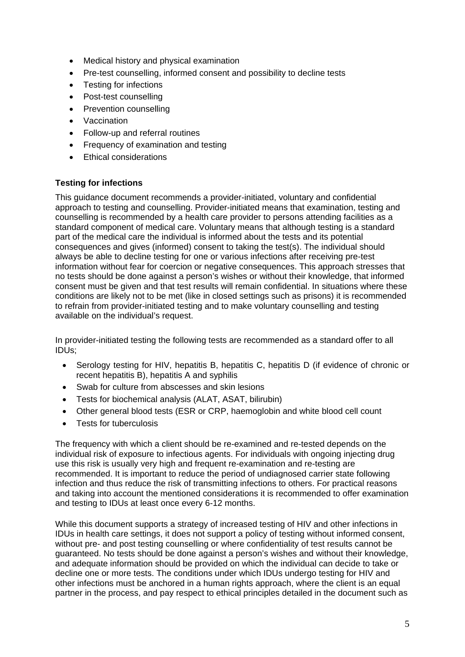- Medical history and physical examination
- Pre-test counselling, informed consent and possibility to decline tests
- Testing for infections
- Post-test counselling
- Prevention counselling
- Vaccination
- Follow-up and referral routines
- Frequency of examination and testing
- Ethical considerations

#### **Testing for infections**

This guidance document recommends a provider-initiated, voluntary and confidential approach to testing and counselling. Provider-initiated means that examination, testing and counselling is recommended by a health care provider to persons attending facilities as a standard component of medical care. Voluntary means that although testing is a standard part of the medical care the individual is informed about the tests and its potential consequences and gives (informed) consent to taking the test(s). The individual should always be able to decline testing for one or various infections after receiving pre-test information without fear for coercion or negative consequences. This approach stresses that no tests should be done against a person's wishes or without their knowledge, that informed consent must be given and that test results will remain confidential. In situations where these conditions are likely not to be met (like in closed settings such as prisons) it is recommended to refrain from provider-initiated testing and to make voluntary counselling and testing available on the individual's request.

In provider-initiated testing the following tests are recommended as a standard offer to all IDUs;

- Serology testing for HIV, hepatitis B, hepatitis C, hepatitis D (if evidence of chronic or recent hepatitis B), hepatitis A and syphilis
- Swab for culture from abscesses and skin lesions
- Tests for biochemical analysis (ALAT, ASAT, bilirubin)
- Other general blood tests (ESR or CRP, haemoglobin and white blood cell count
- Tests for tuberculosis

The frequency with which a client should be re-examined and re-tested depends on the individual risk of exposure to infectious agents. For individuals with ongoing injecting drug use this risk is usually very high and frequent re-examination and re-testing are recommended. It is important to reduce the period of undiagnosed carrier state following infection and thus reduce the risk of transmitting infections to others. For practical reasons and taking into account the mentioned considerations it is recommended to offer examination and testing to IDUs at least once every 6-12 months.

While this document supports a strategy of increased testing of HIV and other infections in IDUs in health care settings, it does not support a policy of testing without informed consent, without pre- and post testing counselling or where confidentiality of test results cannot be guaranteed. No tests should be done against a person's wishes and without their knowledge, and adequate information should be provided on which the individual can decide to take or decline one or more tests. The conditions under which IDUs undergo testing for HIV and other infections must be anchored in a human rights approach, where the client is an equal partner in the process, and pay respect to ethical principles detailed in the document such as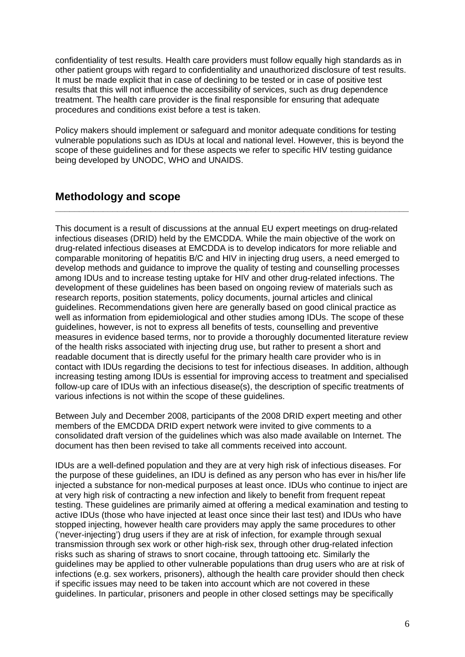confidentiality of test results. Health care providers must follow equally high standards as in other patient groups with regard to confidentiality and unauthorized disclosure of test results. It must be made explicit that in case of declining to be tested or in case of positive test results that this will not influence the accessibility of services, such as drug dependence treatment. The health care provider is the final responsible for ensuring that adequate procedures and conditions exist before a test is taken.

Policy makers should implement or safeguard and monitor adequate conditions for testing vulnerable populations such as IDUs at local and national level. However, this is beyond the scope of these guidelines and for these aspects we refer to specific HIV testing guidance being developed by UNODC, WHO and UNAIDS.

**\_\_\_\_\_\_\_\_\_\_\_\_\_\_\_\_\_\_\_\_\_\_\_\_\_\_\_\_\_\_\_\_\_\_\_\_\_\_\_\_\_\_\_\_\_\_\_\_\_\_\_\_\_\_\_\_\_\_\_\_\_\_\_\_\_\_\_\_\_\_\_\_\_\_** 

## **Methodology and scope**

This document is a result of discussions at the annual EU expert meetings on drug-related infectious diseases (DRID) held by the EMCDDA. While the main objective of the work on drug-related infectious diseases at EMCDDA is to develop indicators for more reliable and comparable monitoring of hepatitis B/C and HIV in injecting drug users, a need emerged to develop methods and guidance to improve the quality of testing and counselling processes among IDUs and to increase testing uptake for HIV and other drug-related infections. The development of these guidelines has been based on ongoing review of materials such as research reports, position statements, policy documents, journal articles and clinical guidelines. Recommendations given here are generally based on good clinical practice as well as information from epidemiological and other studies among IDUs. The scope of these guidelines, however, is not to express all benefits of tests, counselling and preventive measures in evidence based terms, nor to provide a thoroughly documented literature review of the health risks associated with injecting drug use, but rather to present a short and readable document that is directly useful for the primary health care provider who is in contact with IDUs regarding the decisions to test for infectious diseases. In addition, although increasing testing among IDUs is essential for improving access to treatment and specialised follow-up care of IDUs with an infectious disease(s), the description of specific treatments of various infections is not within the scope of these guidelines.

Between July and December 2008, participants of the 2008 DRID expert meeting and other members of the EMCDDA DRID expert network were invited to give comments to a consolidated draft version of the guidelines which was also made available on Internet. The document has then been revised to take all comments received into account.

IDUs are a well-defined population and they are at very high risk of infectious diseases. For the purpose of these guidelines, an IDU is defined as any person who has ever in his/her life injected a substance for non-medical purposes at least once. IDUs who continue to inject are at very high risk of contracting a new infection and likely to benefit from frequent repeat testing. These guidelines are primarily aimed at offering a medical examination and testing to active IDUs (those who have injected at least once since their last test) and IDUs who have stopped injecting, however health care providers may apply the same procedures to other ('never-injecting') drug users if they are at risk of infection, for example through sexual transmission through sex work or other high-risk sex, through other drug-related infection risks such as sharing of straws to snort cocaine, through tattooing etc. Similarly the guidelines may be applied to other vulnerable populations than drug users who are at risk of infections (e.g. sex workers, prisoners), although the health care provider should then check if specific issues may need to be taken into account which are not covered in these guidelines. In particular, prisoners and people in other closed settings may be specifically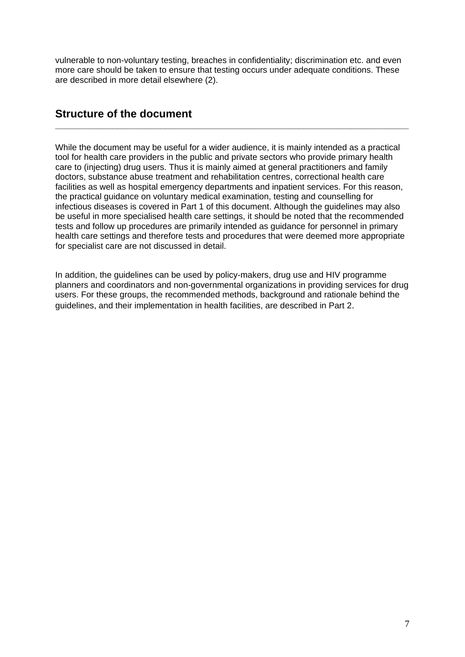vulnerable to non-voluntary testing, breaches in confidentiality; discrimination etc. and even more care should be taken to ensure that testing occurs under adequate conditions. These are described in more detail elsewhere (2).

**\_\_\_\_\_\_\_\_\_\_\_\_\_\_\_\_\_\_\_\_\_\_\_\_\_\_\_\_\_\_\_\_\_\_\_\_\_\_\_\_\_\_\_\_\_\_\_\_\_\_\_\_\_\_\_\_\_\_\_\_\_\_\_\_\_\_\_\_\_\_\_\_\_\_** 

## **Structure of the document**

While the document may be useful for a wider audience, it is mainly intended as a practical tool for health care providers in the public and private sectors who provide primary health care to (injecting) drug users. Thus it is mainly aimed at general practitioners and family doctors, substance abuse treatment and rehabilitation centres, correctional health care facilities as well as hospital emergency departments and inpatient services. For this reason, the practical guidance on voluntary medical examination, testing and counselling for infectious diseases is covered in Part 1 of this document. Although the guidelines may also be useful in more specialised health care settings, it should be noted that the recommended tests and follow up procedures are primarily intended as guidance for personnel in primary health care settings and therefore tests and procedures that were deemed more appropriate for specialist care are not discussed in detail.

In addition, the guidelines can be used by policy-makers, drug use and HIV programme planners and coordinators and non-governmental organizations in providing services for drug users. For these groups, the recommended methods, background and rationale behind the guidelines, and their implementation in health facilities, are described in Part 2.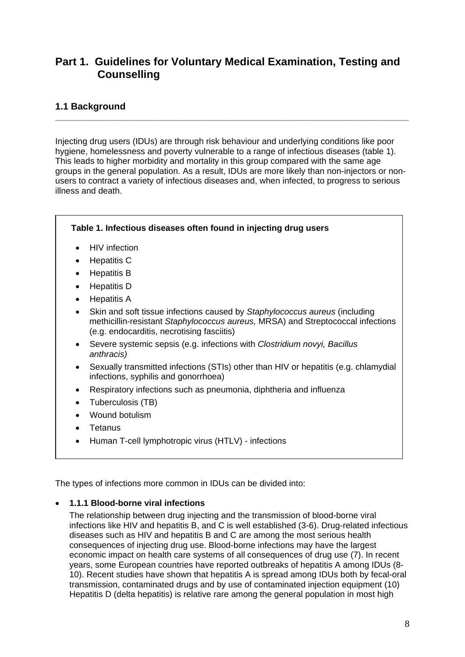## **Part 1. Guidelines for Voluntary Medical Examination, Testing and Counselling**

### **1.1 Background**

Injecting drug users (IDUs) are through risk behaviour and underlying conditions like poor hygiene, homelessness and poverty vulnerable to a range of infectious diseases (table 1). This leads to higher morbidity and mortality in this group compared with the same age groups in the general population. As a result, IDUs are more likely than non-injectors or nonusers to contract a variety of infectious diseases and, when infected, to progress to serious illness and death.

**\_\_\_\_\_\_\_\_\_\_\_\_\_\_\_\_\_\_\_\_\_\_\_\_\_\_\_\_\_\_\_\_\_\_\_\_\_\_\_\_\_\_\_\_\_\_\_\_\_\_\_\_\_\_\_\_\_\_\_\_\_\_\_\_\_\_\_\_\_\_\_\_\_\_** 



• Human T-cell lymphotropic virus (HTLV) - infections

The types of infections more common in IDUs can be divided into:

### • **1.1.1 Blood-borne viral infections**

The relationship between drug injecting and the transmission of blood-borne viral infections like HIV and hepatitis B, and C is well established (3-6). Drug-related infectious diseases such as HIV and hepatitis B and C are among the most serious health consequences of injecting drug use. Blood-borne infections may have the largest economic impact on health care systems of all consequences of drug use (7). In recent years, some European countries have reported outbreaks of hepatitis A among IDUs (8- 10). Recent studies have shown that hepatitis A is spread among IDUs both by fecal-oral transmission, contaminated drugs and by use of contaminated injection equipment (10) Hepatitis D (delta hepatitis) is relative rare among the general population in most high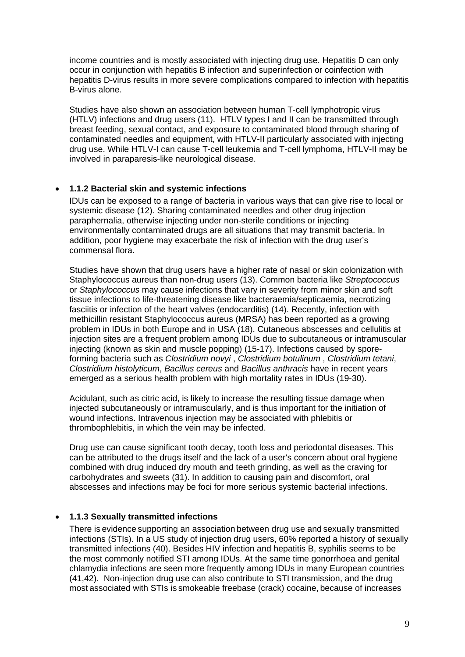income countries and is mostly associated with injecting drug use. Hepatitis D can only occur in conjunction with hepatitis B infection and superinfection or coinfection with hepatitis D-virus results in more severe complications compared to infection with hepatitis B-virus alone.

Studies have also shown an association between human T-cell lymphotropic virus (HTLV) infections and drug users (11).HTLV types I and II can be transmitted through breast feeding, sexual contact, and exposure to contaminated blood through sharing of contaminated needles and equipment, with HTLV-II particularly associated with injecting drug use. While HTLV-I can cause T-cell leukemia and T-cell lymphoma, HTLV-II may be involved in paraparesis-like neurological disease.

#### • **1.1.2 Bacterial skin and systemic infections**

IDUs can be exposed to a range of bacteria in various ways that can give rise to local or systemic disease (12). Sharing contaminated needles and other drug injection paraphernalia, otherwise injecting under non-sterile conditions or injecting environmentally contaminated drugs are all situations that may transmit bacteria. In addition, poor hygiene may exacerbate the risk of infection with the drug user's commensal flora.

Studies have shown that drug users have a higher rate of nasal or skin colonization with Staphylococcus aureus than non-drug users (13). Common bacteria like *Streptococcus* or *Staphylococcus* may cause infections that vary in severity from minor skin and soft tissue infections to life-threatening disease like bacteraemia/septicaemia, necrotizing fasciitis or infection of the heart valves (endocarditis) (14). Recently, infection with methicillin resistant Staphylococcus aureus (MRSA) has been reported as a growing problem in IDUs in both Europe and in USA (18). Cutaneous abscesses and cellulitis at injection sites are a frequent problem among IDUs due to subcutaneous or intramuscular injecting (known as skin and muscle popping) (15-17). Infections caused by sporeforming bacteria such as *Clostridium novyi* , *Clostridium botulinum* , *Clostridium tetani*, *Clostridium histolyticum*, *Bacillus cereus* and *Bacillus anthracis* have in recent years emerged as a serious health problem with high mortality rates in IDUs (19-30).

Acidulant, such as citric acid, is likely to increase the resulting tissue damage when injected subcutaneously or intramuscularly, and is thus important for the initiation of wound infections. Intravenous injection may be associated with phlebitis or thrombophlebitis, in which the vein may be infected.

Drug use can cause significant tooth decay, tooth loss and periodontal diseases. This can be attributed to the drugs itself and the lack of a user's concern about oral hygiene combined with drug induced dry mouth and teeth grinding, as well as the craving for carbohydrates and sweets (31). In addition to causing pain and discomfort, oral abscesses and infections may be foci for more serious systemic bacterial infections.

### • **1.1.3 Sexually transmitted infections**

There is evidence supporting an association between drug use and sexually transmitted infections (STIs). In a US study of injection drug users, 60% reported a history of sexually transmitted infections (40). Besides HIV infection and hepatitis B, syphilis seems to be the most commonly notified STI among IDUs. At the same time gonorrhoea and genital chlamydia infections are seen more frequently among IDUs in many European countries (41,42). Non-injection drug use can also contribute to STI transmission, and the drug most associated with STIs is smokeable freebase (crack) cocaine, because of increases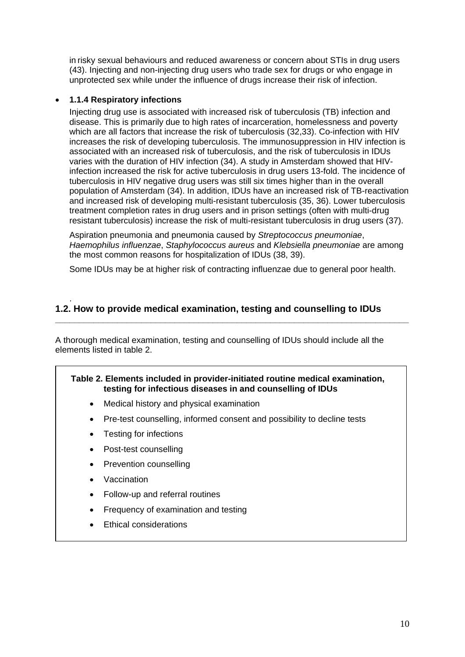in risky sexual behaviours and reduced awareness or concern about STIs in drug users (43). Injecting and non-injecting drug users who trade sex for drugs or who engage in unprotected sex while under the influence of drugs increase their risk of infection.

#### • **1.1.4 Respiratory infections**

Injecting drug use is associated with increased risk of tuberculosis (TB) infection and disease. This is primarily due to high rates of incarceration, homelessness and poverty which are all factors that increase the risk of tuberculosis (32,33). Co-infection with HIV increases the risk of developing tuberculosis. The immunosuppression in HIV infection is associated with an increased risk of tuberculosis, and the risk of tuberculosis in IDUs varies with the duration of HIV infection (34). A study in Amsterdam showed that HIVinfection increased the risk for active tuberculosis in drug users 13-fold. The incidence of tuberculosis in HIV negative drug users was still six times higher than in the overall population of Amsterdam (34). In addition, IDUs have an increased risk of TB-reactivation and increased risk of developing multi-resistant tuberculosis (35, 36). Lower tuberculosis treatment completion rates in drug users and in prison settings (often with multi-drug resistant tuberculosis) increase the risk of multi-resistant tuberculosis in drug users (37).

Aspiration pneumonia and pneumonia caused by *Streptococcus pneumoniae*, *Haemophilus influenzae*, *Staphylococcus aureus* and *Klebsiella pneumoniae* are among the most common reasons for hospitalization of IDUs (38, 39).

Some IDUs may be at higher risk of contracting influenzae due to general poor health.

**\_\_\_\_\_\_\_\_\_\_\_\_\_\_\_\_\_\_\_\_\_\_\_\_\_\_\_\_\_\_\_\_\_\_\_\_\_\_\_\_\_\_\_\_\_\_\_\_\_\_\_\_\_\_\_\_\_\_\_\_\_\_\_\_\_\_\_\_\_\_\_\_\_\_** 

### **1.2. How to provide medical examination, testing and counselling to IDUs**

A thorough medical examination, testing and counselling of IDUs should include all the elements listed in table 2.

#### **Table 2. Elements included in provider-initiated routine medical examination, testing for infectious diseases in and counselling of IDUs**

- Medical history and physical examination
- Pre-test counselling, informed consent and possibility to decline tests
- Testing for infections
- Post-test counselling
- Prevention counselling
- **Vaccination**

.

- Follow-up and referral routines
- Frequency of examination and testing
- Ethical considerations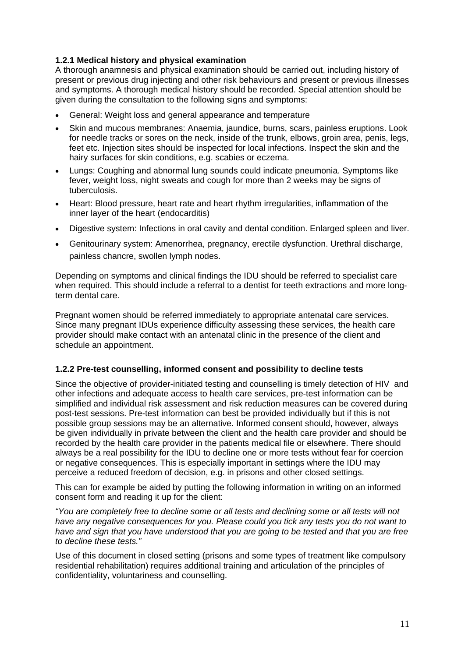### **1.2.1 Medical history and physical examination**

A thorough anamnesis and physical examination should be carried out, including history of present or previous drug injecting and other risk behaviours and present or previous illnesses and symptoms. A thorough medical history should be recorded. Special attention should be given during the consultation to the following signs and symptoms:

- General: Weight loss and general appearance and temperature
- Skin and mucous membranes: Anaemia, jaundice, burns, scars, painless eruptions. Look for needle tracks or sores on the neck, inside of the trunk, elbows, groin area, penis, legs, feet etc. Injection sites should be inspected for local infections. Inspect the skin and the hairy surfaces for skin conditions, e.g. scabies or eczema.
- Lungs: Coughing and abnormal lung sounds could indicate pneumonia. Symptoms like fever, weight loss, night sweats and cough for more than 2 weeks may be signs of tuberculosis.
- Heart: Blood pressure, heart rate and heart rhythm irregularities, inflammation of the inner layer of the heart ([endocarditis\)](http://www.revolutionhealth.com/articles?id=ste122118)
- Digestive system: Infections in oral cavity and dental condition. Enlarged spleen and liver.
- Genitourinary system: Amenorrhea, pregnancy, erectile dysfunction. Urethral discharge, painless chancre, swollen lymph nodes.

Depending on symptoms and clinical findings the IDU should be referred to specialist care when required. This should include a referral to a dentist for teeth extractions and more longterm dental care.

Pregnant women should be referred immediately to appropriate antenatal care services. Since many pregnant IDUs experience difficulty assessing these services, the health care provider should make contact with an antenatal clinic in the presence of the client and schedule an appointment.

### **1.2.2 Pre-test counselling, informed consent and possibility to decline tests**

Since the objective of provider-initiated testing and counselling is timely detection of HIV and other infections and adequate access to health care services, pre-test information can be simplified and individual risk assessment and risk reduction measures can be covered during post-test sessions. Pre-test information can best be provided individually but if this is not possible group sessions may be an alternative. Informed consent should, however, always be given individually in private between the client and the health care provider and should be recorded by the health care provider in the patients medical file or elsewhere. There should always be a real possibility for the IDU to decline one or more tests without fear for coercion or negative consequences. This is especially important in settings where the IDU may perceive a reduced freedom of decision, e.g. in prisons and other closed settings.

This can for example be aided by putting the following information in writing on an informed consent form and reading it up for the client:

*"You are completely free to decline some or all tests and declining some or all tests will not have any negative consequences for you. Please could you tick any tests you do not want to have and sign that you have understood that you are going to be tested and that you are free to decline these tests."* 

Use of this document in closed setting (prisons and some types of treatment like compulsory residential rehabilitation) requires additional training and articulation of the principles of confidentiality, voluntariness and counselling.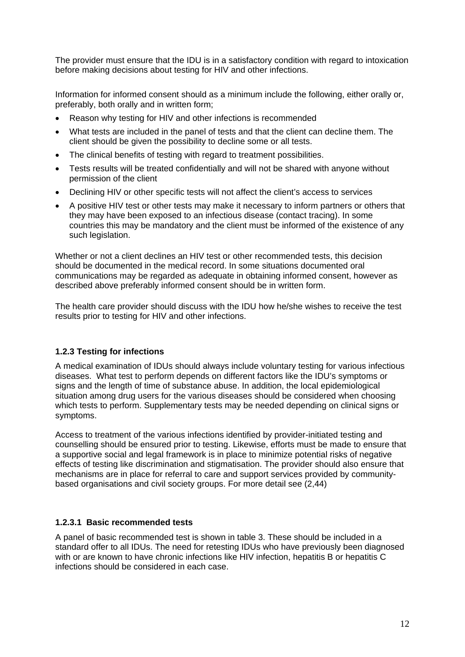The provider must ensure that the IDU is in a satisfactory condition with regard to intoxication before making decisions about testing for HIV and other infections.

Information for informed consent should as a minimum include the following, either orally or, preferably, both orally and in written form;

- Reason why testing for HIV and other infections is recommended
- What tests are included in the panel of tests and that the client can decline them. The client should be given the possibility to decline some or all tests.
- The clinical benefits of testing with regard to treatment possibilities.
- Tests results will be treated confidentially and will not be shared with anyone without permission of the client
- Declining HIV or other specific tests will not affect the client's access to services
- A positive HIV test or other tests may make it necessary to inform partners or others that they may have been exposed to an infectious disease (contact tracing). In some countries this may be mandatory and the client must be informed of the existence of any such legislation.

Whether or not a client declines an HIV test or other recommended tests, this decision should be documented in the medical record. In some situations documented oral communications may be regarded as adequate in obtaining informed consent, however as described above preferably informed consent should be in written form.

The health care provider should discuss with the IDU how he/she wishes to receive the test results prior to testing for HIV and other infections.

### **1.2.3 Testing for infections**

A medical examination of IDUs should always include voluntary testing for various infectious diseases. What test to perform depends on different factors like the IDU's symptoms or signs and the length of time of substance abuse. In addition, the local epidemiological situation among drug users for the various diseases should be considered when choosing which tests to perform. Supplementary tests may be needed depending on clinical signs or symptoms.

Access to treatment of the various infections identified by provider-initiated testing and counselling should be ensured prior to testing. Likewise, efforts must be made to ensure that a supportive social and legal framework is in place to minimize potential risks of negative effects of testing like discrimination and stigmatisation. The provider should also ensure that mechanisms are in place for referral to care and support services provided by communitybased organisations and civil society groups. For more detail see (2,44)

### **1.2.3.1 Basic recommended tests**

A panel of basic recommended test is shown in table 3. These should be included in a standard offer to all IDUs. The need for retesting IDUs who have previously been diagnosed with or are known to have chronic infections like HIV infection, hepatitis B or hepatitis C infections should be considered in each case.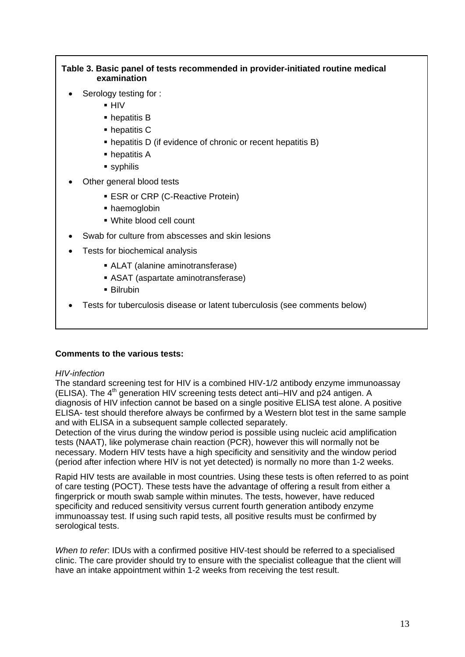#### **Table 3. Basic panel of tests recommended in provider-initiated routine medical examination**

- Serology testing for :
	- HIV
	- hepatitis B
	- hepatitis C
	- hepatitis D (if evidence of chronic or recent hepatitis B)
	- hepatitis A
	- syphilis
- Other general blood tests
	- **ESR or CRP (C-Reactive Protein)**
	- haemoglobin
	- White blood cell count
- Swab for culture from abscesses and skin lesions
- Tests for biochemical analysis
	- ALAT (alanine aminotransferase)
	- ASAT (aspartate aminotransferase)
	- Bilrubin
- Tests for tuberculosis disease or latent tuberculosis (see comments below)

#### **Comments to the various tests:**

#### *HIV-infection*

The standard screening test for HIV is a combined HIV-1/2 antibody enzyme immunoassay (ELISA). The  $4<sup>th</sup>$  generation HIV screening tests detect anti–HIV and p24 antigen. A diagnosis of HIV infection cannot be based on a single positive ELISA test alone. A positive ELISA- test should therefore always be confirmed by a Western blot test in the same sample and with ELISA in a subsequent sample collected separately.

Detection of the virus during the window period is possible using nucleic acid amplification tests (NAAT), like polymerase chain reaction (PCR), however this will normally not be necessary. Modern HIV tests have a high specificity and sensitivity and the window period (period after infection where HIV is not yet detected) is normally no more than 1-2 weeks.

Rapid HIV tests are available in most countries. Using these tests is often referred to as point of care testing (POCT). These tests have the advantage of offering a result from either a fingerprick or mouth swab sample within minutes. The tests, however, have reduced specificity and reduced sensitivity versus current fourth generation antibody enzyme immunoassay test. If using such rapid tests, all positive results must be confirmed by serological tests.

*When to refer*: IDUs with a confirmed positive HIV-test should be referred to a specialised clinic. The care provider should try to ensure with the specialist colleague that the client will have an intake appointment within 1-2 weeks from receiving the test result.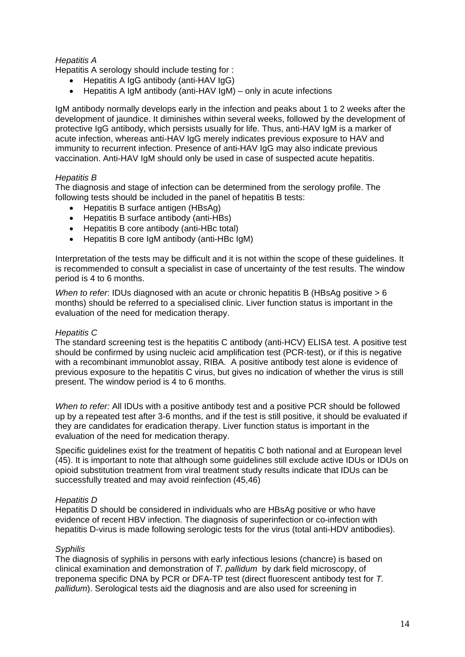#### *Hepatitis A*

Hepatitis A serology should include testing for :

- Hepatitis A IgG antibody (anti-HAV IgG)
- Hepatitis A IgM antibody (anti-HAV IgM) only in acute infections

IgM antibody normally develops early in the infection and peaks about 1 to 2 weeks after the development of jaundice. It diminishes within several weeks, followed by the development of protective IgG antibody, which persists usually for life. Thus, anti-HAV IgM is a marker of acute infection, whereas anti-HAV IgG merely indicates previous exposure to HAV and immunity to recurrent infection. Presence of anti-HAV IgG may also indicate previous vaccination. Anti-HAV IgM should only be used in case of suspected acute hepatitis.

#### *Hepatitis B*

The diagnosis and stage of infection can be determined from the serology profile. The following tests should be included in the panel of hepatitis B tests:

- Hepatitis B surface antigen (HBsAg)
- Hepatitis B surface antibody (anti-HBs)
- Hepatitis B core antibody (anti-HBc total)
- Hepatitis B core IgM antibody (anti-HBc IgM)

Interpretation of the tests may be difficult and it is not within the scope of these guidelines. It is recommended to consult a specialist in case of uncertainty of the test results. The window period is 4 to 6 months.

*When to refer*: IDUs diagnosed with an acute or chronic hepatitis B (HBsAg positive > 6 months) should be referred to a specialised clinic. Liver function status is important in the evaluation of the need for medication therapy.

#### *Hepatitis C*

The standard screening test is the hepatitis C antibody (anti-HCV) ELISA test. A positive test should be confirmed by using nucleic acid amplification test (PCR-test), or if this is negative with a recombinant immunoblot assay, RIBA. A positive antibody test alone is evidence of previous exposure to the hepatitis C virus, but gives no indication of whether the virus is still present. The window period is 4 to 6 months.

*When to refer:* All IDUs with a positive antibody test and a positive PCR should be followed up by a repeated test after 3-6 months, and if the test is still positive, it should be evaluated if they are candidates for eradication therapy. Liver function status is important in the evaluation of the need for medication therapy.

Specific guidelines exist for the treatment of hepatitis C both national and at European level (45). It is important to note that although some guidelines still exclude active IDUs or IDUs on opioid substitution treatment from viral treatment study results indicate that IDUs can be successfully treated and may avoid reinfection (45,46)

#### *Hepatitis D*

Hepatitis D should be considered in individuals who are HBsAg positive or who have evidence of recent HBV infection. The diagnosis of superinfection or co-infection with hepatitis D-virus is made following serologic tests for the virus (total anti-HDV antibodies).

#### *Syphilis*

The diagnosis of syphilis in persons with early infectious lesions (chancre) is based on clinical examination and demonstration of *T. pallidum* by dark field microscopy, of treponema specific DNA by PCR or DFA-TP test (direct fluorescent antibody test for *T. pallidum*). Serological tests aid the diagnosis and are also used for screening in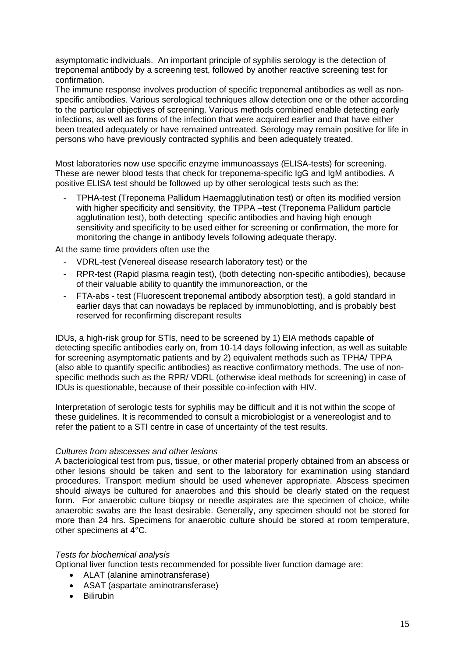asymptomatic individuals. An important principle of syphilis serology is the detection of treponemal antibody by a screening test, followed by another reactive screening test for confirmation.

The immune response involves production of specific treponemal antibodies as well as nonspecific antibodies. Various serological techniques allow detection one or the other according to the particular objectives of screening. Various methods combined enable detecting early infections, as well as forms of the infection that were acquired earlier and that have either been treated adequately or have remained untreated. Serology may remain positive for life in persons who have previously contracted syphilis and been adequately treated.

Most laboratories now use specific enzyme immunoassays (ELISA-tests) for screening. These are newer blood tests that check for treponema-specific IgG and IgM antibodies. A positive ELISA test should be followed up by other serological tests such as the:

- TPHA-test (Treponema Pallidum Haemagglutination test) or often its modified version with higher specificity and sensitivity, the TPPA –test (Treponema Pallidum particle agglutination test), both detecting specific antibodies and having high enough sensitivity and specificity to be used either for screening or confirmation, the more for monitoring the change in antibody levels following adequate therapy.

At the same time providers often use the

- VDRL-test (Venereal disease research laboratory test) or the
- RPR-test (Rapid plasma reagin test), (both detecting non-specific antibodies), because of their valuable ability to quantify the immunoreaction, or the
- FTA-abs test (Fluorescent treponemal antibody absorption test), a gold standard in earlier days that can nowadays be replaced by immunoblotting, and is probably best reserved for reconfirming discrepant results

IDUs, a high-risk group for STIs, need to be screened by 1) EIA methods capable of detecting specific antibodies early on, from 10-14 days following infection, as well as suitable for screening asymptomatic patients and by 2) equivalent methods such as TPHA/ TPPA (also able to quantify specific antibodies) as reactive confirmatory methods. The use of nonspecific methods such as the RPR/ VDRL (otherwise ideal methods for screening) in case of IDUs is questionable, because of their possible co-infection with HIV.

Interpretation of serologic tests for syphilis may be difficult and it is not within the scope of these guidelines. It is recommended to consult a microbiologist or a venereologist and to refer the patient to a STI centre in case of uncertainty of the test results.

#### *Cultures from abscesses and other lesions*

A bacteriological test from pus, tissue, or other material properly obtained from an abscess or other lesions should be taken and sent to the laboratory for examination using standard procedures. Transport medium should be used whenever appropriate. Abscess specimen should always be cultured for anaerobes and this should be clearly stated on the request form. For anaerobic culture biopsy or needle aspirates are the specimen of choice, while anaerobic swabs are the least desirable. Generally, any specimen should not be stored for more than 24 hrs. Specimens for anaerobic culture should be stored at room temperature, other specimens at 4°C.

#### *Tests for biochemical analysis*

Optional liver function tests recommended for possible liver function damage are:

- ALAT (alanine aminotransferase)
- ASAT (aspartate aminotransferase)
- Bilirubin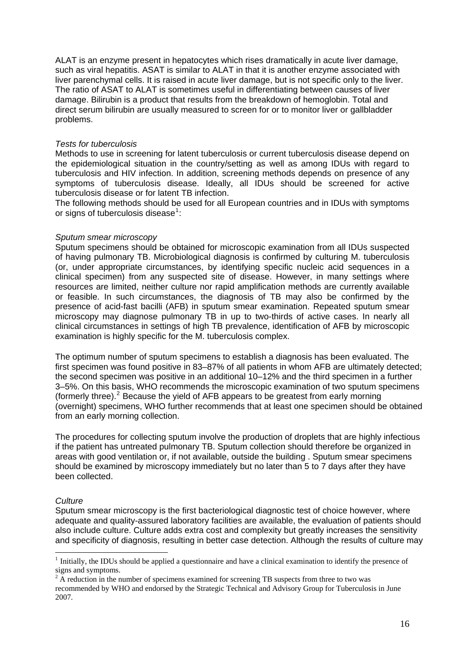ALAT is an enzyme present in [hepatocytes](http://en.wikipedia.org/wiki/Hepatocyte) which rises dramatically in acute liver damage, such as viral hepatitis. ASAT is similar to ALAT in that it is another enzyme associated with liver parenchymal cells. It is raised in acute liver damage, but is not specific only to the liver. The ratio of ASAT to ALAT is sometimes useful in differentiating between causes of liver damage. Bilirubin is a product that results from the breakdown of hemoglobin. Total and direct serum bilirubin are usually measured to screen for or to monitor liver or gallbladder problems.

#### *Tests for tuberculosis*

Methods to use in screening for latent tuberculosis or current tuberculosis disease depend on the epidemiological situation in the country/setting as well as among IDUs with regard to tuberculosis and HIV infection. In addition, screening methods depends on presence of any symptoms of tuberculosis disease. Ideally, all IDUs should be screened for active tuberculosis disease or for latent TB infection.

The following methods should be used for all European countries and in IDUs with symptoms or signs of tuberculosis disease $1$ :

#### *Sputum smear microscopy*

Sputum specimens should be obtained for microscopic examination from all IDUs suspected of having pulmonary TB. Microbiological diagnosis is confirmed by culturing M. tuberculosis (or, under appropriate circumstances, by identifying specific nucleic acid sequences in a clinical specimen) from any suspected site of disease. However, in many settings where resources are limited, neither culture nor rapid amplification methods are currently available or feasible. In such circumstances, the diagnosis of TB may also be confirmed by the presence of acid-fast bacilli (AFB) in sputum smear examination. Repeated sputum smear microscopy may diagnose pulmonary TB in up to two-thirds of active cases. In nearly all clinical circumstances in settings of high TB prevalence, identification of AFB by microscopic examination is highly specific for the M. tuberculosis complex.

The optimum number of sputum specimens to establish a diagnosis has been evaluated. The first specimen was found positive in 83–87% of all patients in whom AFB are ultimately detected; the second specimen was positive in an additional 10–12% and the third specimen in a further 3–5%. On this basis, WHO recommends the microscopic examination of two sputum specimens (formerly three). $2$  Because the yield of AFB appears to be greatest from early morning (overnight) specimens, WHO further recommends that at least one specimen should be obtained from an early morning collection.

The procedures for collecting sputum involve the production of droplets that are highly infectious if the patient has untreated pulmonary TB. Sputum collection should therefore be organized in areas with good ventilation or, if not available, outside the building . Sputum smear specimens should be examined by microscopy immediately but no later than 5 to 7 days after they have been collected.

#### *Culture*

1

Sputum smear microscopy is the first bacteriological diagnostic test of choice however, where adequate and quality-assured laboratory facilities are available, the evaluation of patients should also include culture. Culture adds extra cost and complexity but greatly increases the sensitivity and specificity of diagnosis, resulting in better case detection. Although the results of culture may

<span id="page-15-0"></span> $<sup>1</sup>$  Initially, the IDUs should be applied a questionnaire and have a clinical examination to identify the presence of</sup> signs and symptoms.

<span id="page-15-1"></span> $2\overline{A}$  reduction in the number of specimens examined for screening TB suspects from three to two was recommended by WHO and endorsed by the Strategic Technical and Advisory Group for Tuberculosis in June 2007.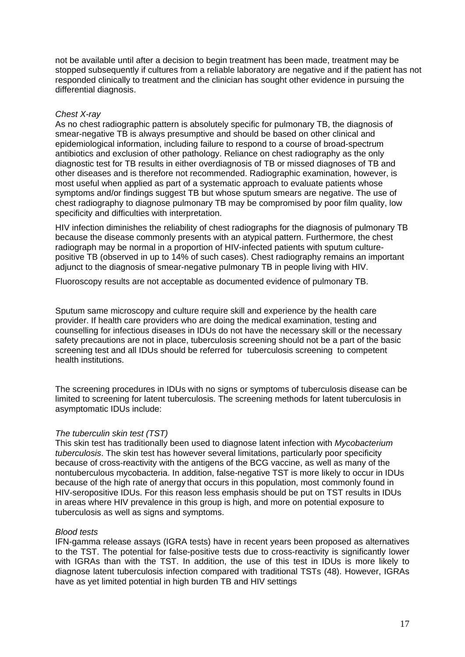not be available until after a decision to begin treatment has been made, treatment may be stopped subsequently if cultures from a reliable laboratory are negative and if the patient has not responded clinically to treatment and the clinician has sought other evidence in pursuing the differential diagnosis.

#### *Chest X-ray*

As no chest radiographic pattern is absolutely specific for pulmonary TB, the diagnosis of smear-negative TB is always presumptive and should be based on other clinical and epidemiological information, including failure to respond to a course of broad-spectrum antibiotics and exclusion of other pathology. Reliance on chest radiography as the only diagnostic test for TB results in either overdiagnosis of TB or missed diagnoses of TB and other diseases and is therefore not recommended. Radiographic examination, however, is most useful when applied as part of a systematic approach to evaluate patients whose symptoms and/or findings suggest TB but whose sputum smears are negative. The use of chest radiography to diagnose pulmonary TB may be compromised by poor film quality, low specificity and difficulties with interpretation.

HIV infection diminishes the reliability of chest radiographs for the diagnosis of pulmonary TB because the disease commonly presents with an atypical pattern. Furthermore, the chest radiograph may be normal in a proportion of HIV-infected patients with sputum culturepositive TB (observed in up to 14% of such cases). Chest radiography remains an important adjunct to the diagnosis of smear-negative pulmonary TB in people living with HIV.

Fluoroscopy results are not acceptable as documented evidence of pulmonary TB.

Sputum same microscopy and culture require skill and experience by the health care provider. If health care providers who are doing the medical examination, testing and counselling for infectious diseases in IDUs do not have the necessary skill or the necessary safety precautions are not in place, tuberculosis screening should not be a part of the basic screening test and all IDUs should be referred for tuberculosis screening to competent health institutions.

The screening procedures in IDUs with no signs or symptoms of tuberculosis disease can be limited to screening for latent tuberculosis. The screening methods for latent tuberculosis in asymptomatic IDUs include:

#### *The tuberculin skin test (TST)*

This skin test has traditionally been used to diagnose latent infection with *Mycobacterium tuberculosis*. The skin test has however several limitations, particularly poor specificity because of cross-reactivity with the antigens of the BCG vaccine, as well as many of the nontuberculous mycobacteria. In addition, false-negative TST is more likely to occur in IDUs because of the high rate of anergy that occurs in this population, most commonly found in HIV-seropositive IDUs. For this reason less emphasis should be put on TST results in IDUs in areas where HIV prevalence in this group is high, and more on potential exposure to tuberculosis as well as signs and symptoms.

#### *Blood tests*

IFN-gamma release assays (IGRA tests) have in recent years been proposed as alternatives to the TST. The potential for false-positive tests due to cross-reactivity is significantly lower with IGRAs than with the TST. In addition, the use of this test in IDUs is more likely to diagnose latent tuberculosis infection compared with traditional TSTs (48). However, IGRAs have as yet limited potential in high burden TB and HIV settings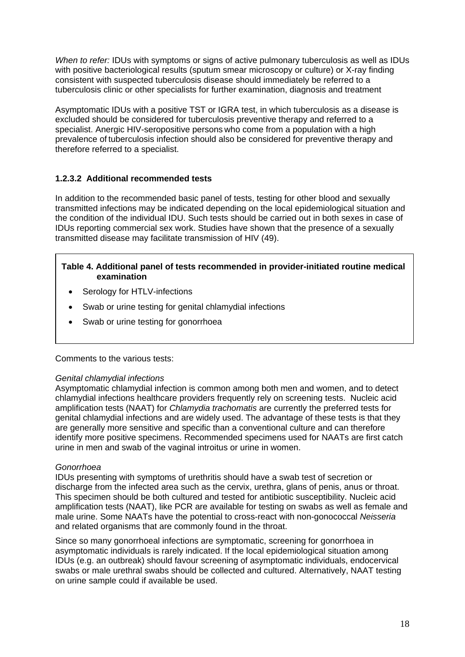*When to refer:* IDUs with symptoms or signs of active pulmonary tuberculosis as well as IDUs with positive bacteriological results (sputum smear microscopy or culture) or X-ray finding consistent with suspected tuberculosis disease should immediately be referred to a tuberculosis clinic or other specialists for further examination, diagnosis and treatment

Asymptomatic IDUs with a positive TST or IGRA test, in which tuberculosis as a disease is excluded should be considered for tuberculosis preventive therapy and referred to a specialist. Anergic HIV-seropositive persons who come from a population with a high prevalence of tuberculosis infection should also be considered for preventive therapy and therefore referred to a specialist.

### **1.2.3.2 Additional recommended tests**

In addition to the recommended basic panel of tests, testing for other blood and sexually transmitted infections may be indicated depending on the local epidemiological situation and the condition of the individual IDU. Such tests should be carried out in both sexes in case of IDUs reporting commercial sex work. Studies have shown that the presence of a sexually transmitted disease may facilitate transmission of HIV (49).

#### **Table 4. Additional panel of tests recommended in provider-initiated routine medical examination**

- Serology for HTLV-infections
- Swab or urine testing for genital chlamydial infections
- Swab or urine testing for gonorrhoea

### Comments to the various tests:

#### *Genital chlamydial infections*

Asymptomatic chlamydial infection is common among both men and women, and to detect chlamydial infections healthcare providers frequently rely on screening tests. Nucleic acid amplification tests (NAAT) for *Chlamydia trachomatis* are currently the preferred tests for genital chlamydial infections and are widely used. The advantage of these tests is that they are generally more sensitive and specific than a conventional culture and can therefore identify more positive specimens. Recommended specimens used for NAATs are first catch urine in men and swab of the vaginal introitus or urine in women.

#### *Gonorrhoea*

IDUs presenting with symptoms of urethritis should have a swab test of secretion or discharge from the infected area such as the cervix, urethra, glans of penis, anus or throat. This specimen should be both cultured and tested for antibiotic susceptibility. Nucleic acid amplification tests (NAAT), like PCR are available for testing on swabs as well as female and male urine. Some NAATs have the potential to cross-react with non-gonococcal *Neisseria* and related organisms that are commonly found in the throat.

Since so many gonorrhoeal infections are symptomatic, screening for gonorrhoea in asymptomatic individuals is rarely indicated. If the local epidemiological situation among IDUs (e.g. an outbreak) should favour screening of asymptomatic individuals, endocervical swabs or male urethral swabs should be collected and cultured. Alternatively, NAAT testing on urine sample could if available be used.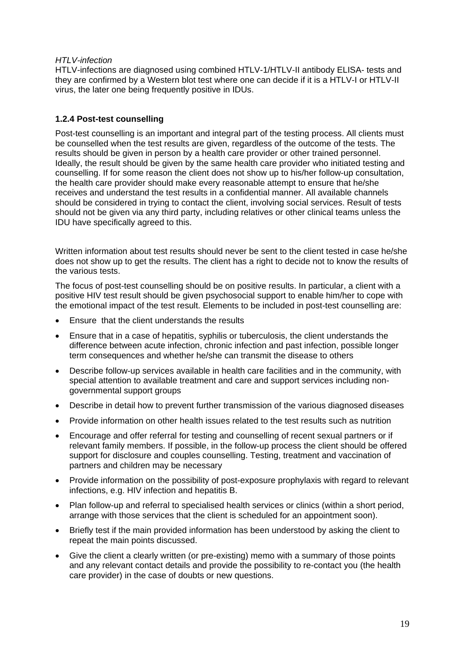#### *HTLV-infection*

HTLV-infections are diagnosed using combined HTLV-1/HTLV-II antibody ELISA- tests and they are confirmed by a Western blot test where one can decide if it is a HTLV-I or HTLV-II virus, the later one being frequently positive in IDUs.

### **1.2.4 Post-test counselling**

Post-test counselling is an important and integral part of the testing process. All clients must be counselled when the test results are given, regardless of the outcome of the tests. The results should be given in person by a health care provider or other trained personnel. Ideally, the result should be given by the same health care provider who initiated testing and counselling. If for some reason the client does not show up to his/her follow-up consultation, the health care provider should make every reasonable attempt to ensure that he/she receives and understand the test results in a confidential manner. All available channels should be considered in trying to contact the client, involving social services. Result of tests should not be given via any third party, including relatives or other clinical teams unless the IDU have specifically agreed to this.

Written information about test results should never be sent to the client tested in case he/she does not show up to get the results. The client has a right to decide not to know the results of the various tests.

The focus of post-test counselling should be on positive results. In particular, a client with a positive HIV test result should be given psychosocial support to enable him/her to cope with the emotional impact of the test result. Elements to be included in post-test counselling are:

- Ensure that the client understands the results
- Ensure that in a case of hepatitis, syphilis or tuberculosis, the client understands the difference between acute infection, chronic infection and past infection, possible longer term consequences and whether he/she can transmit the disease to others
- Describe follow-up services available in health care facilities and in the community, with special attention to available treatment and care and support services including nongovernmental support groups
- Describe in detail how to prevent further transmission of the various diagnosed diseases
- Provide information on other health issues related to the test results such as nutrition
- Encourage and offer referral for testing and counselling of recent sexual partners or if relevant family members. If possible, in the follow-up process the client should be offered support for disclosure and couples counselling. Testing, treatment and vaccination of partners and children may be necessary
- Provide information on the possibility of post-exposure prophylaxis with regard to relevant infections, e.g. HIV infection and hepatitis B.
- Plan follow-up and referral to specialised health services or clinics (within a short period, arrange with those services that the client is scheduled for an appointment soon).
- Briefly test if the main provided information has been understood by asking the client to repeat the main points discussed.
- Give the client a clearly written (or pre-existing) memo with a summary of those points and any relevant contact details and provide the possibility to re-contact you (the health care provider) in the case of doubts or new questions.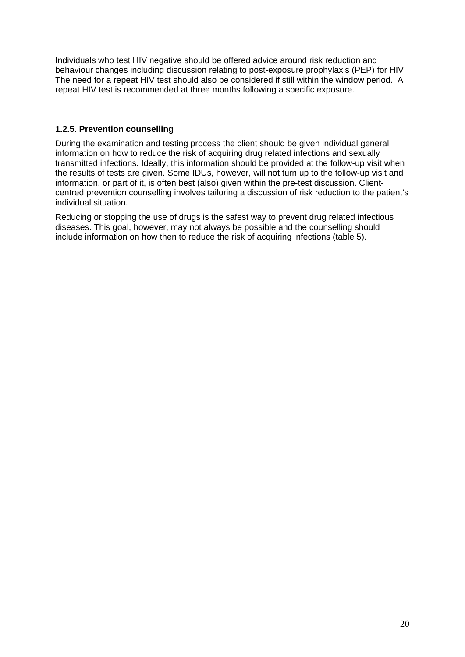Individuals who test HIV negative should be offered advice around risk reduction and behaviour changes including discussion relating to post-exposure prophylaxis (PEP) for HIV. The need for a repeat HIV test should also be considered if still within the window period. A repeat HIV test is recommended at three months following a specific exposure.

### **1.2.5. Prevention counselling**

During the examination and testing process the client should be given individual general information on how to reduce the risk of acquiring drug related infections and sexually transmitted infections. Ideally, this information should be provided at the follow-up visit when the results of tests are given. Some IDUs, however, will not turn up to the follow-up visit and information, or part of it, is often best (also) given within the pre-test discussion. Clientcentred prevention counselling involves tailoring a discussion of risk reduction to the patient's individual situation.

Reducing or stopping the use of drugs is the safest way to prevent drug related infectious diseases. This goal, however, may not always be possible and the counselling should include information on how then to reduce the risk of acquiring infections (table 5).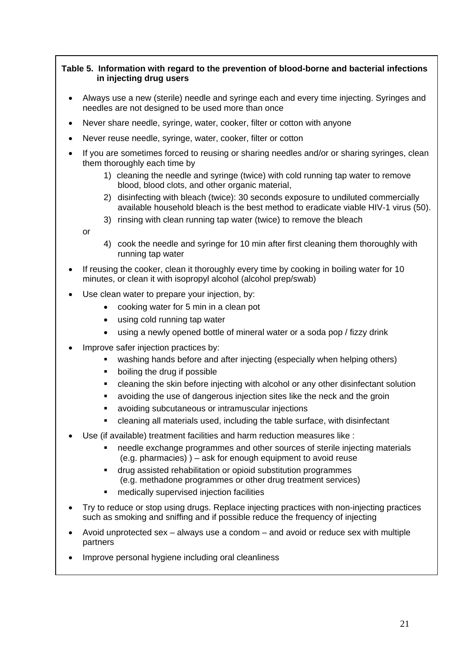#### **Table 5. Information with regard to the prevention of blood-borne and bacterial infections in injecting drug users**

- Always use a new (sterile) needle and syringe each and every time injecting. Syringes and needles are not designed to be used more than once
- Never share needle, syringe, water, cooker, filter or cotton with anyone
- Never reuse needle, syringe, water, cooker, filter or cotton
- If you are sometimes forced to reusing or sharing needles and/or or sharing syringes, clean them thoroughly each time by
	- 1) cleaning the needle and syringe (twice) with cold running tap water to remove blood, blood clots, and other organic material,
	- 2) disinfecting with bleach (twice): 30 seconds exposure to undiluted commercially available household bleach is the best method to eradicate viable HIV-1 virus (50).
	- 3) rinsing with clean running tap water (twice) to remove the bleach

or

- 4) cook the needle and syringe for 10 min after first cleaning them thoroughly with running tap water
- If reusing the cooker, clean it thoroughly every time by cooking in boiling water for 10 minutes, or clean it with isopropyl alcohol (alcohol prep/swab)
- Use clean water to prepare your injection, by:
	- cooking water for 5 min in a clean pot
	- using cold running tap water
	- using a newly opened bottle of mineral water or a soda pop / fizzy drink
- Improve safer injection practices by:
	- washing hands before and after injecting (especially when helping others)
	- boiling the drug if possible
	- cleaning the skin before injecting with alcohol or any other disinfectant solution
	- avoiding the use of dangerous injection sites like the neck and the groin
	- avoiding subcutaneous or intramuscular injections
	- cleaning all materials used, including the table surface, with disinfectant
- Use (if available) treatment facilities and harm reduction measures like :
	- needle exchange programmes and other sources of sterile injecting materials (e.g. pharmacies) ) – ask for enough equipment to avoid reuse
	- drug assisted rehabilitation or opioid substitution programmes (e.g. methadone programmes or other drug treatment services)
	- medically supervised injection facilities
- Try to reduce or stop using drugs. Replace injecting practices with non-injecting practices such as smoking and sniffing and if possible reduce the frequency of injecting
- Avoid unprotected sex always use a condom and avoid or reduce sex with multiple partners
- Improve personal hygiene including oral cleanliness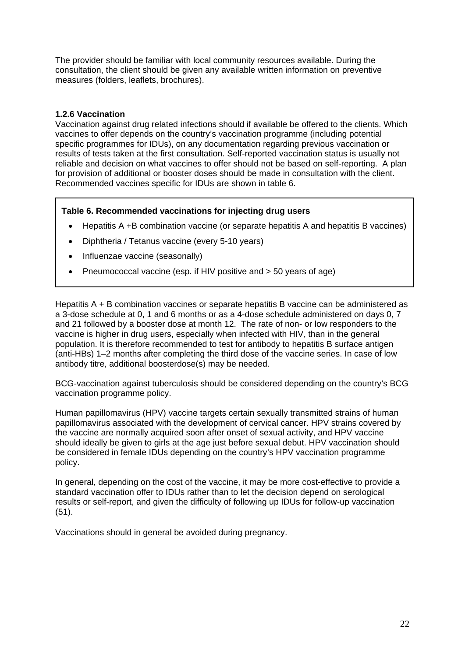The provider should be familiar with local community resources available. During the consultation, the client should be given any available written information on preventive measures (folders, leaflets, brochures).

#### **1.2.6 Vaccination**

Vaccination against drug related infections should if available be offered to the clients. Which vaccines to offer depends on the country's vaccination programme (including potential specific programmes for IDUs), on any documentation regarding previous vaccination or results of tests taken at the first consultation. Self-reported vaccination status is usually not reliable and decision on what vaccines to offer should not be based on self-reporting. A plan for provision of additional or booster doses should be made in consultation with the client. Recommended vaccines specific for IDUs are shown in table 6.

#### **Table 6. Recommended vaccinations for injecting drug users**

- Hepatitis A +B combination vaccine (or separate hepatitis A and hepatitis B vaccines)
- Diphtheria / Tetanus vaccine (every 5-10 years)
- Influenzae vaccine (seasonally)
- Pneumococcal vaccine (esp. if HIV positive and > 50 years of age)

Hepatitis A + B combination vaccines or separate hepatitis B vaccine can be administered as a 3-dose schedule at 0, 1 and 6 months or as a 4-dose schedule administered on days 0, 7 and 21 followed by a booster dose at month 12. The rate of non- or low responders to the vaccine is higher in drug users, especially when infected with HIV, than in the general population. It is therefore recommended to test for antibody to hepatitis B surface antigen (anti-HBs) 1–2 months after completing the third dose of the vaccine series. In case of low antibody titre, additional boosterdose(s) may be needed.

BCG-vaccination against tuberculosis should be considered depending on the country's BCG vaccination programme policy.

Human papillomavirus (HPV) vaccine targets certain sexually transmitted strains of human papillomavirus associated with the development of cervical cancer. HPV strains covered by the vaccine are normally acquired soon after onset of sexual activity, and HPV vaccine should ideally be given to girls at the age just before sexual debut. HPV vaccination should be considered in female IDUs depending on the country's HPV vaccination programme policy.

In general, depending on the cost of the vaccine, it may be more cost-effective to provide a standard vaccination offer to IDUs rather than to let the decision depend on serological results or self-report, and given the difficulty of following up IDUs for follow-up vaccination (51).

Vaccinations should in general be avoided during pregnancy.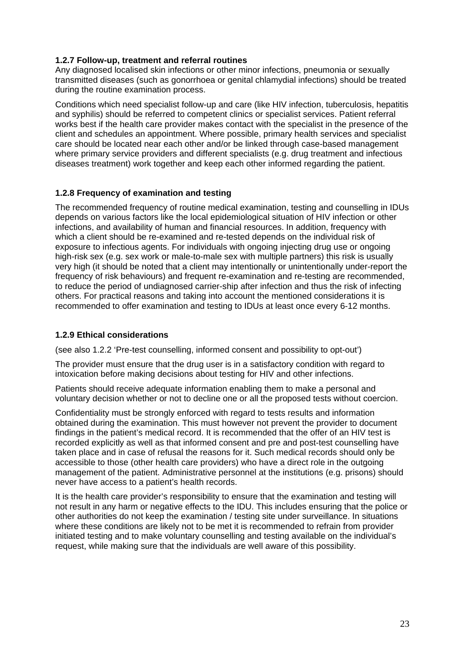#### **1.2.7 Follow-up, treatment and referral routines**

Any diagnosed localised skin infections or other minor infections, pneumonia or sexually transmitted diseases (such as gonorrhoea or genital chlamydial infections) should be treated during the routine examination process.

Conditions which need specialist follow-up and care (like HIV infection, tuberculosis, hepatitis and syphilis) should be referred to competent clinics or specialist services. Patient referral works best if the health care provider makes contact with the specialist in the presence of the client and schedules an appointment. Where possible, primary health services and specialist care should be located near each other and/or be linked through case-based management where primary service providers and different specialists (e.g. drug treatment and infectious diseases treatment) work together and keep each other informed regarding the patient.

#### **1.2.8 Frequency of examination and testing**

The recommended frequency of routine medical examination, testing and counselling in IDUs depends on various factors like the local epidemiological situation of HIV infection or other infections, and availability of human and financial resources. In addition, frequency with which a client should be re-examined and re-tested depends on the individual risk of exposure to infectious agents. For individuals with ongoing injecting drug use or ongoing high-risk sex (e.g. sex work or male-to-male sex with multiple partners) this risk is usually very high (it should be noted that a client may intentionally or unintentionally under-report the frequency of risk behaviours) and frequent re-examination and re-testing are recommended, to reduce the period of undiagnosed carrier-ship after infection and thus the risk of infecting others. For practical reasons and taking into account the mentioned considerations it is recommended to offer examination and testing to IDUs at least once every 6-12 months.

#### **1.2.9 Ethical considerations**

(see also 1.2.2 'Pre-test counselling, informed consent and possibility to opt-out')

The provider must ensure that the drug user is in a satisfactory condition with regard to intoxication before making decisions about testing for HIV and other infections.

Patients should receive adequate information enabling them to make a personal and voluntary decision whether or not to decline one or all the proposed tests without coercion.

Confidentiality must be strongly enforced with regard to tests results and information obtained during the examination. This must however not prevent the provider to document findings in the patient's medical record. It is recommended that the offer of an HIV test is recorded explicitly as well as that informed consent and pre and post-test counselling have taken place and in case of refusal the reasons for it. Such medical records should only be accessible to those (other health care providers) who have a direct role in the outgoing management of the patient. Administrative personnel at the institutions (e.g. prisons) should never have access to a patient's health records.

It is the health care provider's responsibility to ensure that the examination and testing will not result in any harm or negative effects to the IDU. This includes ensuring that the police or other authorities do not keep the examination / testing site under surveillance. In situations where these conditions are likely not to be met it is recommended to refrain from provider initiated testing and to make voluntary counselling and testing available on the individual's request, while making sure that the individuals are well aware of this possibility.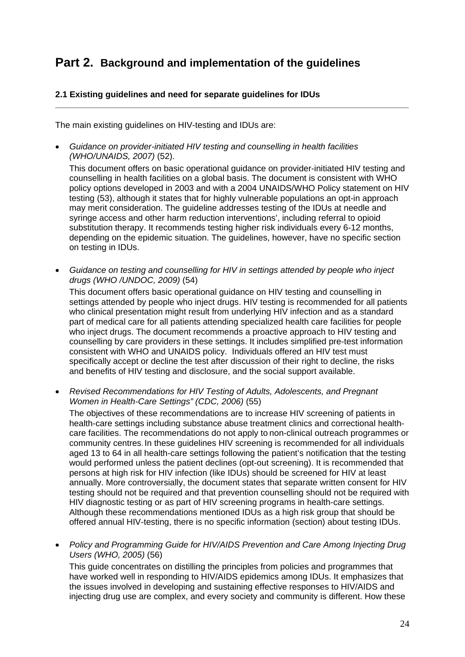## **Part 2. Background and implementation of the guidelines**

#### **2.1 Existing guidelines and need for separate guidelines for IDUs**

The main existing guidelines on HIV-testing and IDUs are:

• *Guidance on provider-initiated HIV testing and counselling in health facilities (WHO/UNAIDS, 2007)* (52).

 This document offers on basic operational guidance on provider-initiated HIV testing and counselling in health facilities on a global basis. The document is consistent with WHO policy options developed in 2003 and with a 2004 UNAIDS/WHO Policy statement on HIV testing (53), although it states that for highly vulnerable populations an opt-in approach may merit consideration. The guideline addresses testing of the IDUs at needle and syringe access and other harm reduction interventions', including referral to opioid substitution therapy. It recommends testing higher risk individuals every 6-12 months, depending on the epidemic situation. The guidelines, however, have no specific section on testing in IDUs.

**\_\_\_\_\_\_\_\_\_\_\_\_\_\_\_\_\_\_\_\_\_\_\_\_\_\_\_\_\_\_\_\_\_\_\_\_\_\_\_\_\_\_\_\_\_\_\_\_\_\_\_\_\_\_\_\_\_\_\_\_\_\_\_\_\_\_\_\_\_\_\_\_\_\_** 

• *Guidance on testing and counselling for HIV in settings attended by people who inject drugs (WHO /UNDOC, 2009)* (54)

 This document offers basic operational guidance on HIV testing and counselling in settings attended by people who inject drugs. HIV testing is recommended for all patients who clinical presentation might result from underlying HIV infection and as a standard part of medical care for all patients attending specialized health care facilities for people who inject drugs. The document recommends a proactive approach to HIV testing and counselling by care providers in these settings. It includes simplified pre-test information consistent with WHO and UNAIDS policy. Individuals offered an HIV test must specifically accept or decline the test after discussion of their right to decline, the risks and benefits of HIV testing and disclosure, and the social support available.

• *Revised Recommendations for HIV Testing of Adults, Adolescents, and Pregnant Women in Health-Care Settings" (CDC, 2006)* (55)

 The objectives of these recommendations are to increase HIV screening of patients in health-care settings including substance abuse treatment clinics and correctional healthcare facilities. The recommendations do not apply to non-clinical outreach programmes or community centres. In these guidelines HIV screening is recommended for all individuals aged 13 to 64 in all health-care settings following the patient's notification that the testing would performed unless the patient declines (opt-out screening). It is recommended that persons at high risk for HIV infection (like IDUs) should be screened for HIV at least annually. More controversially, the document states that separate written consent for HIV testing should not be required and that prevention counselling should not be required with HIV diagnostic testing or as part of HIV screening programs in health-care settings. Although these recommendations mentioned IDUs as a high risk group that should be offered annual HIV-testing, there is no specific information (section) about testing IDUs.

• *Policy and Programming Guide for HIV/AIDS Prevention and Care Among Injecting Drug Users (WHO, 2005)* (56)

 This guide concentrates on distilling the principles from policies and programmes that have worked well in responding to HIV/AIDS epidemics among IDUs. It emphasizes that the issues involved in developing and sustaining effective responses to HIV/AIDS and injecting drug use are complex, and every society and community is different. How these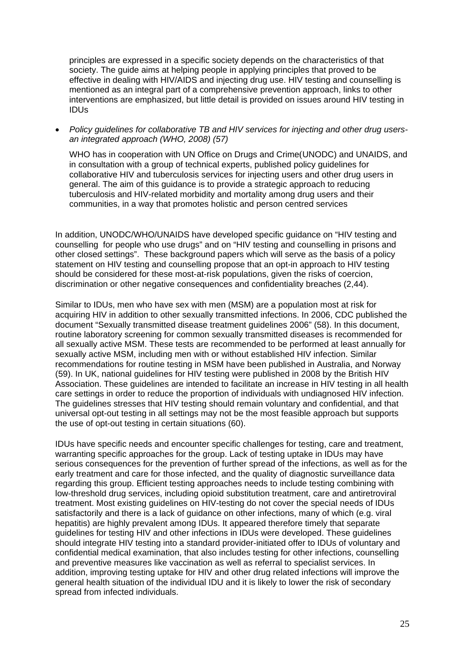principles are expressed in a specific society depends on the characteristics of that society. The guide aims at helping people in applying principles that proved to be effective in dealing with HIV/AIDS and injecting drug use. HIV testing and counselling is mentioned as an integral part of a comprehensive prevention approach, links to other interventions are emphasized, but little detail is provided on issues around HIV testing in IDUs

• *Policy guidelines for collaborative TB and HIV services for injecting and other drug usersan integrated approach (WHO, 2008) (57)* 

WHO has in cooperation with UN Office on Drugs and Crime(UNODC) and UNAIDS, and in consultation with a group of technical experts, published policy guidelines for collaborative HIV and tuberculosis services for injecting users and other drug users in general. The aim of this guidance is to provide a strategic approach to reducing tuberculosis and HIV-related morbidity and mortality among drug users and their communities, in a way that promotes holistic and person centred services

In addition, UNODC/WHO/UNAIDS have developed specific guidance on "HIV testing and counselling for people who use drugs" and on "HIV testing and counselling in prisons and other closed settings". These background papers which will serve as the basis of a policy statement on HIV testing and counselling propose that an opt-in approach to HIV testing should be considered for these most-at-risk populations, given the risks of coercion, discrimination or other negative consequences and confidentiality breaches (2,44).

Similar to IDUs, men who have sex with men (MSM) are a population most at risk for acquiring HIV in addition to other sexually transmitted infections. In 2006, CDC published the document "Sexually transmitted disease treatment guidelines 2006" (58). In this document, routine laboratory screening for common sexually transmitted diseases is recommended for all sexually active MSM. These tests are recommended to be performed at least annually for sexually active MSM, including men with or without established HIV infection. Similar recommendations for routine testing in MSM have been published in Australia, and Norway (59). In UK, national guidelines for HIV testing were published in 2008 by the British HIV Association. These guidelines are intended to facilitate an increase in HIV testing in all health care settings in order to reduce the proportion of individuals with undiagnosed HIV infection. The guidelines stresses that HIV testing should remain voluntary and confidential, and that universal opt-out testing in all settings may not be the most feasible approach but supports the use of opt-out testing in certain situations (60).

IDUs have specific needs and encounter specific challenges for testing, care and treatment, warranting specific approaches for the group. Lack of testing uptake in IDUs may have serious consequences for the prevention of further spread of the infections, as well as for the early treatment and care for those infected, and the quality of diagnostic surveillance data regarding this group. Efficient testing approaches needs to include testing combining with low-threshold drug services, including opioid substitution treatment, care and antiretroviral treatment. Most existing guidelines on HIV-testing do not cover the special needs of IDUs satisfactorily and there is a lack of guidance on other infections, many of which (e.g. viral hepatitis) are highly prevalent among IDUs. It appeared therefore timely that separate guidelines for testing HIV and other infections in IDUs were developed. These guidelines should integrate HIV testing into a standard provider-initiated offer to IDUs of voluntary and confidential medical examination, that also includes testing for other infections, counselling and preventive measures like vaccination as well as referral to specialist services. In addition, improving testing uptake for HIV and other drug related infections will improve the general health situation of the individual IDU and it is likely to lower the risk of secondary spread from infected individuals.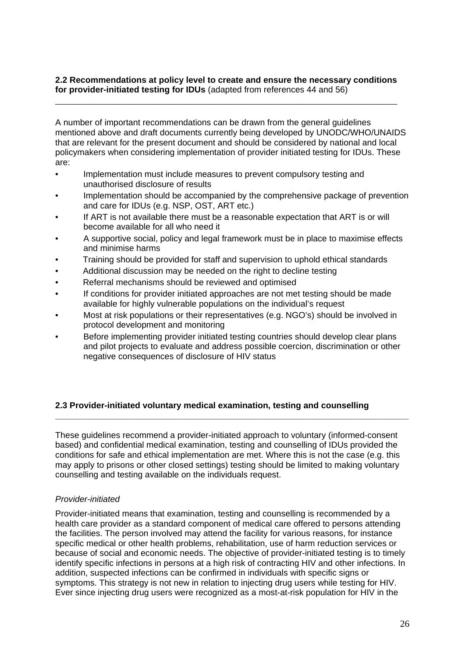#### **2.2 Recommendations at policy level to create and ensure the necessary conditions for provider-initiated testing for IDUs** (adapted from references 44 and 56)

\_\_\_\_\_\_\_\_\_\_\_\_\_\_\_\_\_\_\_\_\_\_\_\_\_\_\_\_\_\_\_\_\_\_\_\_\_\_\_\_\_\_\_\_\_\_\_\_\_\_\_\_\_\_\_\_\_\_\_\_\_\_\_\_\_\_\_\_\_\_\_\_\_

A number of important recommendations can be drawn from the general guidelines mentioned above and draft documents currently being developed by UNODC/WHO/UNAIDS that are relevant for the present document and should be considered by national and local policymakers when considering implementation of provider initiated testing for IDUs. These are:

- Implementation must include measures to prevent compulsory testing and unauthorised disclosure of results
- Implementation should be accompanied by the comprehensive package of prevention and care for IDUs (e.g. NSP, OST, ART etc.)
- If ART is not available there must be a reasonable expectation that ART is or will become available for all who need it
- A supportive social, policy and legal framework must be in place to maximise effects and minimise harms
- Training should be provided for staff and supervision to uphold ethical standards
- Additional discussion may be needed on the right to decline testing
- Referral mechanisms should be reviewed and optimised
- If conditions for provider initiated approaches are not met testing should be made available for highly vulnerable populations on the individual's request
- Most at risk populations or their representatives (e.g. NGO's) should be involved in protocol development and monitoring
- Before implementing provider initiated testing countries should develop clear plans and pilot projects to evaluate and address possible coercion, discrimination or other negative consequences of disclosure of HIV status

### **2.3 Provider-initiated voluntary medical examination, testing and counselling**

These guidelines recommend a provider-initiated approach to voluntary (informed-consent based) and confidential medical examination, testing and counselling of IDUs provided the conditions for safe and ethical implementation are met. Where this is not the case (e.g. this may apply to prisons or other closed settings) testing should be limited to making voluntary counselling and testing available on the individuals request.

**\_\_\_\_\_\_\_\_\_\_\_\_\_\_\_\_\_\_\_\_\_\_\_\_\_\_\_\_\_\_\_\_\_\_\_\_\_\_\_\_\_\_\_\_\_\_\_\_\_\_\_\_\_\_\_\_\_\_\_\_\_\_\_\_\_\_\_\_\_\_\_\_\_\_** 

#### *Provider-initiated*

Provider-initiated means that examination, testing and counselling is recommended by a health care provider as a standard component of medical care offered to persons attending the facilities. The person involved may attend the facility for various reasons, for instance specific medical or other health problems, rehabilitation, use of harm reduction services or because of social and economic needs. The objective of provider-initiated testing is to timely identify specific infections in persons at a high risk of contracting HIV and other infections. In addition, suspected infections can be confirmed in individuals with specific signs or symptoms. This strategy is not new in relation to injecting drug users while testing for HIV. Ever since injecting drug users were recognized as a most-at-risk population for HIV in the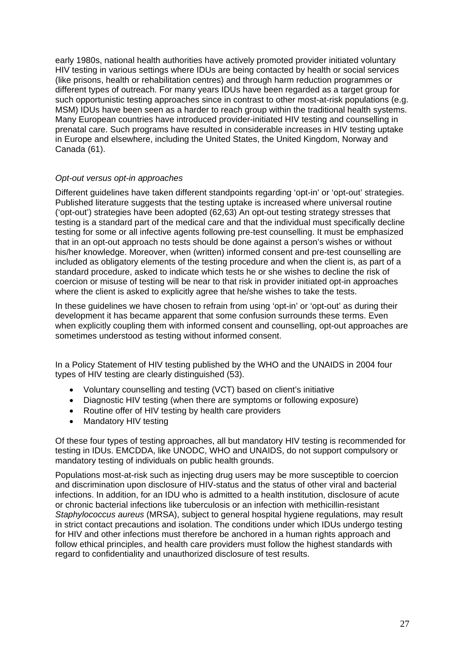early 1980s, national health authorities have actively promoted provider initiated voluntary HIV testing in various settings where IDUs are being contacted by health or social services (like prisons, health or rehabilitation centres) and through harm reduction programmes or different types of outreach. For many years IDUs have been regarded as a target group for such opportunistic testing approaches since in contrast to other most-at-risk populations (e.g. MSM) IDUs have been seen as a harder to reach group within the traditional health systems. Many European countries have introduced provider-initiated HIV testing and counselling in prenatal care. Such programs have resulted in considerable increases in HIV testing uptake in Europe and elsewhere, including the United States, the United Kingdom, Norway and Canada (61).

#### *Opt-out versus opt-in approaches*

Different guidelines have taken different standpoints regarding 'opt-in' or 'opt-out' strategies. Published literature suggests that the testing uptake is increased where universal routine ('opt-out') strategies have been adopted (62,63) An opt-out testing strategy stresses that testing is a standard part of the medical care and that the individual must specifically decline testing for some or all infective agents following pre-test counselling. It must be emphasized that in an opt-out approach no tests should be done against a person's wishes or without his/her knowledge. Moreover, when (written) informed consent and pre-test counselling are included as obligatory elements of the testing procedure and when the client is, as part of a standard procedure, asked to indicate which tests he or she wishes to decline the risk of coercion or misuse of testing will be near to that risk in provider initiated opt-in approaches where the client is asked to explicitly agree that he/she wishes to take the tests.

In these guidelines we have chosen to refrain from using 'opt-in' or 'opt-out' as during their development it has became apparent that some confusion surrounds these terms. Even when explicitly coupling them with informed consent and counselling, opt-out approaches are sometimes understood as testing without informed consent.

In a Policy Statement of HIV testing published by the WHO and the UNAIDS in 2004 four types of HIV testing are clearly distinguished (53).

- Voluntary counselling and testing (VCT) based on client's initiative
- Diagnostic HIV testing (when there are symptoms or following exposure)
- Routine offer of HIV testing by health care providers
- Mandatory HIV testing

Of these four types of testing approaches, all but mandatory HIV testing is recommended for testing in IDUs. EMCDDA, like UNODC, WHO and UNAIDS, do not support compulsory or mandatory testing of individuals on public health grounds.

Populations most-at-risk such as injecting drug users may be more susceptible to coercion and discrimination upon disclosure of HIV-status and the status of other viral and bacterial infections. In addition, for an IDU who is admitted to a health institution, disclosure of acute or chronic bacterial infections like tuberculosis or an infection with methicillin-resistant *Staphylococcus aureus* (MRSA), subject to general hospital hygiene regulations, may result in strict contact precautions and isolation. The conditions under which IDUs undergo testing for HIV and other infections must therefore be anchored in a human rights approach and follow ethical principles, and health care providers must follow the highest standards with regard to confidentiality and unauthorized disclosure of test results.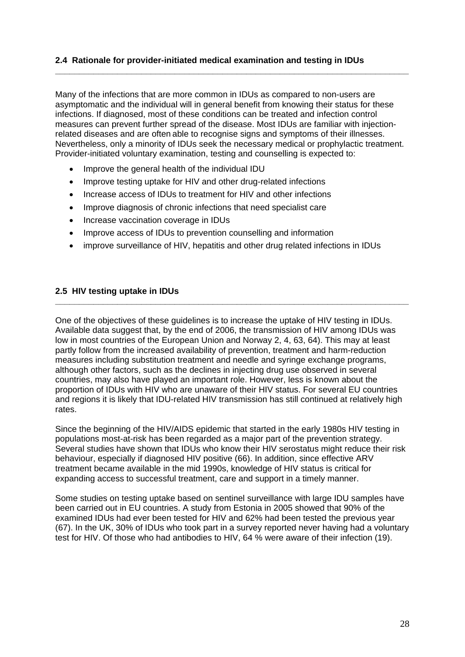#### **2.4 Rationale for provider-initiated medical examination and testing in IDUs**

Many of the infections that are more common in IDUs as compared to non-users are asymptomatic and the individual will in general benefit from knowing their status for these infections. If diagnosed, most of these conditions can be treated and infection control measures can prevent further spread of the disease. Most IDUs are familiar with injectionrelated diseases and are often able to recognise signs and symptoms of their illnesses. Nevertheless, only a minority of IDUs seek the necessary medical or prophylactic treatment. Provider-initiated voluntary examination, testing and counselling is expected to:

**\_\_\_\_\_\_\_\_\_\_\_\_\_\_\_\_\_\_\_\_\_\_\_\_\_\_\_\_\_\_\_\_\_\_\_\_\_\_\_\_\_\_\_\_\_\_\_\_\_\_\_\_\_\_\_\_\_\_\_\_\_\_\_\_\_\_\_\_\_\_\_\_\_\_** 

- Improve the general health of the individual IDU
- Improve testing uptake for HIV and other drug-related infections
- Increase access of IDUs to treatment for HIV and other infections
- Improve diagnosis of chronic infections that need specialist care
- Increase vaccination coverage in IDUs
- Improve access of IDUs to prevention counselling and information
- improve surveillance of HIV, hepatitis and other drug related infections in IDUs

#### **2.5 HIV testing uptake in IDUs**

One of the objectives of these guidelines is to increase the uptake of HIV testing in IDUs. Available data suggest that, by the end of 2006, the transmission of HIV among IDUs was low in most countries of the European Union and Norway 2, 4, 63, 64). This may at least partly follow from the increased availability of prevention, treatment and harm-reduction measures including substitution treatment and needle and syringe exchange programs, although other factors, such as the declines in injecting drug use observed in several countries, may also have played an important role. However, less is known about the proportion of IDUs with HIV who are unaware of their HIV status. For several EU countries and regions it is likely that IDU-related HIV transmission has still continued at relatively high rates.

**\_\_\_\_\_\_\_\_\_\_\_\_\_\_\_\_\_\_\_\_\_\_\_\_\_\_\_\_\_\_\_\_\_\_\_\_\_\_\_\_\_\_\_\_\_\_\_\_\_\_\_\_\_\_\_\_\_\_\_\_\_\_\_\_\_\_\_\_\_\_\_\_\_\_** 

Since the beginning of the HIV/AIDS epidemic that started in the early 1980s HIV testing in populations most-at-risk has been regarded as a major part of the prevention strategy. Several studies have shown that IDUs who know their HIV serostatus might reduce their risk behaviour, especially if diagnosed HIV positive (66). In addition, since effective ARV treatment became available in the mid 1990s, knowledge of HIV status is critical for expanding access to successful treatment, care and support in a timely manner.

Some studies on testing uptake based on sentinel surveillance with large IDU samples have been carried out in EU countries. A study from Estonia in 2005 showed that 90% of the examined IDUs had ever been tested for HIV and 62% had been tested the previous year (67). In the UK, 30% of IDUs who took part in a survey reported never having had a voluntary test for HIV. Of those who had antibodies to HIV, 64 % were aware of their infection (19).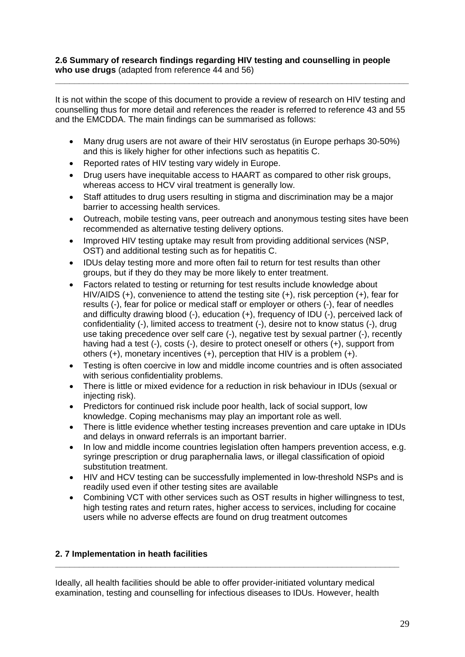#### **2.6 Summary of research findings regarding HIV testing and counselling in people who use drugs** (adapted from reference 44 and 56)

It is not within the scope of this document to provide a review of research on HIV testing and counselling thus for more detail and references the reader is referred to reference 43 and 55 and the EMCDDA. The main findings can be summarised as follows:

**\_\_\_\_\_\_\_\_\_\_\_\_\_\_\_\_\_\_\_\_\_\_\_\_\_\_\_\_\_\_\_\_\_\_\_\_\_\_\_\_\_\_\_\_\_\_\_\_\_\_\_\_\_\_\_\_\_\_\_\_\_\_\_\_\_\_\_\_\_\_\_\_\_\_** 

- Many drug users are not aware of their HIV serostatus (in Europe perhaps 30-50%) and this is likely higher for other infections such as hepatitis C.
- Reported rates of HIV testing vary widely in Europe.
- Drug users have inequitable access to HAART as compared to other risk groups, whereas access to HCV viral treatment is generally low.
- Staff attitudes to drug users resulting in stigma and discrimination may be a major barrier to accessing health services.
- Outreach, mobile testing vans, peer outreach and anonymous testing sites have been recommended as alternative testing delivery options.
- Improved HIV testing uptake may result from providing additional services (NSP, OST) and additional testing such as for hepatitis C.
- IDUs delay testing more and more often fail to return for test results than other groups, but if they do they may be more likely to enter treatment.
- Factors related to testing or returning for test results include knowledge about HIV/AIDS (+), convenience to attend the testing site (+), risk perception (+), fear for results (-), fear for police or medical staff or employer or others (-), fear of needles and difficulty drawing blood (-), education (+), frequency of IDU (-), perceived lack of confidentiality (-), limited access to treatment (-), desire not to know status (-), drug use taking precedence over self care (-), negative test by sexual partner (-), recently having had a test (-), costs (-), desire to protect oneself or others (+), support from others (+), monetary incentives (+), perception that HIV is a problem (+).
- Testing is often coercive in low and middle income countries and is often associated with serious confidentiality problems.
- There is little or mixed evidence for a reduction in risk behaviour in IDUs (sexual or injecting risk).
- Predictors for continued risk include poor health, lack of social support, low knowledge. Coping mechanisms may play an important role as well.
- There is little evidence whether testing increases prevention and care uptake in IDUs and delays in onward referrals is an important barrier.
- In low and middle income countries legislation often hampers prevention access, e.g. syringe prescription or drug paraphernalia laws, or illegal classification of opioid substitution treatment.
- HIV and HCV testing can be successfully implemented in low-threshold NSPs and is readily used even if other testing sites are available
- Combining VCT with other services such as OST results in higher willingness to test, high testing rates and return rates, higher access to services, including for cocaine users while no adverse effects are found on drug treatment outcomes

### **2. 7 Implementation in heath facilities**

Ideally, all health facilities should be able to offer provider-initiated voluntary medical examination, testing and counselling for infectious diseases to IDUs. However, health

**\_\_\_\_\_\_\_\_\_\_\_\_\_\_\_\_\_\_\_\_\_\_\_\_\_\_\_\_\_\_\_\_\_\_\_\_\_\_\_\_\_\_\_\_\_\_\_\_\_\_\_\_\_\_\_\_\_\_\_\_\_\_\_\_\_\_\_\_\_\_\_\_**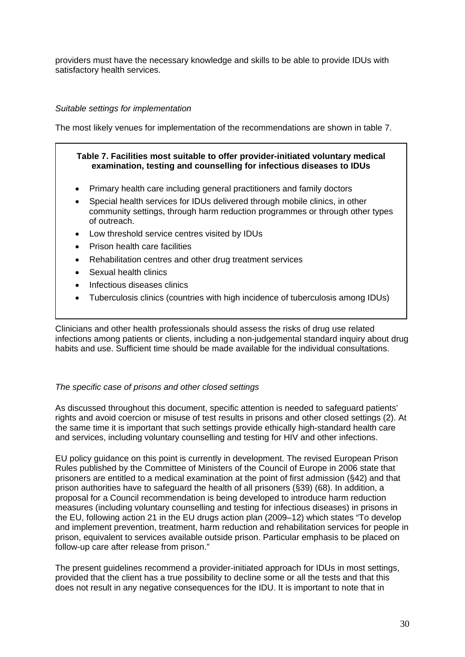providers must have the necessary knowledge and skills to be able to provide IDUs with satisfactory health services.

#### *Suitable settings for implementation*

The most likely venues for implementation of the recommendations are shown in table 7.

#### **Table 7. Facilities most suitable to offer provider-initiated voluntary medical examination, testing and counselling for infectious diseases to IDUs**

- Primary health care including general practitioners and family doctors
- Special health services for IDUs delivered through mobile clinics, in other community settings, through harm reduction programmes or through other types of outreach.
- Low threshold service centres visited by IDUs
- Prison health care facilities
- Rehabilitation centres and other drug treatment services
- Sexual health clinics
- Infectious diseases clinics
- Tuberculosis clinics (countries with high incidence of tuberculosis among IDUs)

Clinicians and other health professionals should assess the risks of drug use related infections among patients or clients, including a non-judgemental standard inquiry about drug habits and use. Sufficient time should be made available for the individual consultations.

#### *The specific case of prisons and other closed settings*

As discussed throughout this document, specific attention is needed to safeguard patients' rights and avoid coercion or misuse of test results in prisons and other closed settings (2). At the same time it is important that such settings provide ethically high-standard health care and services, including voluntary counselling and testing for HIV and other infections.

EU policy guidance on this point is currently in development. The revised European Prison Rules published by the Committee of Ministers of the Council of Europe in 2006 state that prisoners are entitled to a medical examination at the point of first admission (§42) and that prison authorities have to safeguard the health of all prisoners (§39) (68). In addition, a proposal for a Council recommendation is being developed to introduce harm reduction measures (including voluntary counselling and testing for infectious diseases) in prisons in the EU, following action 21 in the EU drugs action plan (2009–12) which states "To develop and implement prevention, treatment, harm reduction and rehabilitation services for people in prison, equivalent to services available outside prison. Particular emphasis to be placed on follow-up care after release from prison."

The present guidelines recommend a provider-initiated approach for IDUs in most settings, provided that the client has a true possibility to decline some or all the tests and that this does not result in any negative consequences for the IDU. It is important to note that in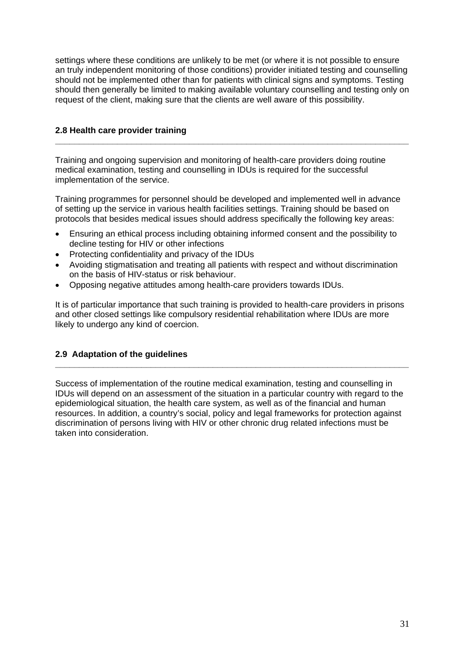settings where these conditions are unlikely to be met (or where it is not possible to ensure an truly independent monitoring of those conditions) provider initiated testing and counselling should not be implemented other than for patients with clinical signs and symptoms. Testing should then generally be limited to making available voluntary counselling and testing only on request of the client, making sure that the clients are well aware of this possibility.

**\_\_\_\_\_\_\_\_\_\_\_\_\_\_\_\_\_\_\_\_\_\_\_\_\_\_\_\_\_\_\_\_\_\_\_\_\_\_\_\_\_\_\_\_\_\_\_\_\_\_\_\_\_\_\_\_\_\_\_\_\_\_\_\_\_\_\_\_\_\_\_\_\_\_** 

#### **2.8 Health care provider training**

Training and ongoing supervision and monitoring of health-care providers doing routine medical examination, testing and counselling in IDUs is required for the successful implementation of the service.

Training programmes for personnel should be developed and implemented well in advance of setting up the service in various health facilities settings. Training should be based on protocols that besides medical issues should address specifically the following key areas:

- Ensuring an ethical process including obtaining informed consent and the possibility to decline testing for HIV or other infections
- Protecting confidentiality and privacy of the IDUs
- Avoiding stigmatisation and treating all patients with respect and without discrimination on the basis of HIV-status or risk behaviour.
- Opposing negative attitudes among health-care providers towards IDUs.

It is of particular importance that such training is provided to health-care providers in prisons and other closed settings like compulsory residential rehabilitation where IDUs are more likely to undergo any kind of coercion.

### **2.9 Adaptation of the guidelines**

Success of implementation of the routine medical examination, testing and counselling in IDUs will depend on an assessment of the situation in a particular country with regard to the epidemiological situation, the health care system, as well as of the financial and human resources. In addition, a country's social, policy and legal frameworks for protection against discrimination of persons living with HIV or other chronic drug related infections must be taken into consideration.

**\_\_\_\_\_\_\_\_\_\_\_\_\_\_\_\_\_\_\_\_\_\_\_\_\_\_\_\_\_\_\_\_\_\_\_\_\_\_\_\_\_\_\_\_\_\_\_\_\_\_\_\_\_\_\_\_\_\_\_\_\_\_\_\_\_\_\_\_\_\_\_\_\_\_**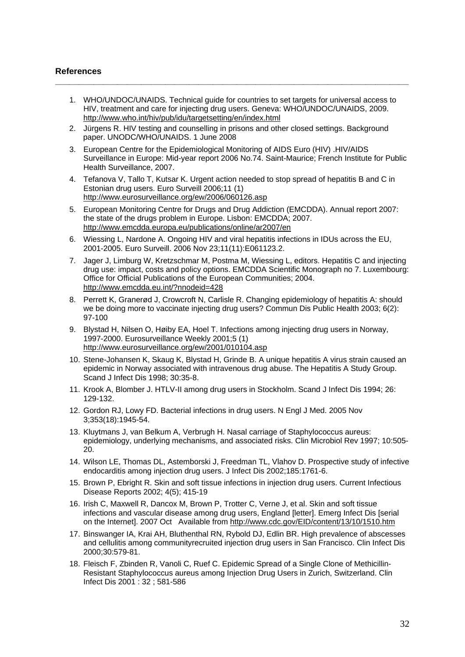#### **References**

1. WHO/UNDOC/UNAIDS. Technical guide for countries to set targets for universal access to HIV, treatment and care for injecting drug users. Geneva: WHO/UNDOC/UNAIDS, 2009. http://www.who.int/hiv/pub/idu/targetsetting/en/index.html

**\_\_\_\_\_\_\_\_\_\_\_\_\_\_\_\_\_\_\_\_\_\_\_\_\_\_\_\_\_\_\_\_\_\_\_\_\_\_\_\_\_\_\_\_\_\_\_\_\_\_\_\_\_\_\_\_\_\_\_\_\_\_\_\_\_\_\_\_\_\_\_\_\_\_** 

- 2. Jürgens R. HIV testing and counselling in prisons and other closed settings. Background paper. UNODC/WHO/UNAIDS. 1 June 2008
- 3. European Centre for the Epidemiological Monitoring of AIDS Euro (HIV) .HIV/AIDS Surveillance in Europe: Mid-year report 2006 No.74. Saint-Maurice; French Institute for Public Health Surveillance, 2007.
- 4. Tefanova V, Tallo T, Kutsar K. Urgent action needed to stop spread of hepatitis B and C in Estonian drug users. Euro Surveill 2006;11 (1) <http://www.eurosurveillance.org/ew/2006/060126.asp>
- 5. European Monitoring Centre for Drugs and Drug Addiction (EMCDDA). Annual report 2007: the state of the drugs problem in Europe. Lisbon: EMCDDA; 2007. <http://www.emcdda.europa.eu/publications/online/ar2007/en>
- 6. Wiessing L, Nardone A. Ongoing HIV and viral hepatitis infections in IDUs across the EU, 2001-2005. Euro Surveill. 2006 Nov 23;11(11):E061123.2.
- 7. Jager J, Limburg W, Kretzschmar M, Postma M, Wiessing L, editors. Hepatitis C and injecting drug use: impact, costs and policy options. EMCDDA Scientific Monograph no 7. Luxembourg: Office for Official Publications of the European Communities; 2004. <http://www.emcdda.eu.int/?nnodeid=428>
- 8. Perrett K, Granerød J, Crowcroft N, Carlisle R. Changing epidemiology of hepatitis A: should we be doing more to vaccinate injecting drug users? Commun Dis Public Health 2003; 6(2): 97-100
- 9. Blystad H, Nilsen O, Høiby EA, Hoel T. Infections among injecting drug users in Norway, 1997-2000. Eurosurveillance Weekly 2001;5 (1) <http://www.eurosurveillance.org/ew/2001/010104.asp>
- 10. Stene-Johansen K, Skaug K, Blystad H, Grinde B. A unique hepatitis A virus strain caused an epidemic in Norway associated with intravenous drug abuse. The Hepatitis A Study Group. Scand J Infect Dis 1998; 30:35-8.
- 11. Krook A, Blomber J. HTLV-II among drug users in Stockholm. Scand J Infect Dis 1994; 26: 129-132.
- 12. Gordon RJ, Lowy FD. Bacterial infections in drug users. N Engl J Med. 2005 Nov 3;353(18):1945-54.
- 13. Kluytmans J, van Belkum A, Verbrugh H. Nasal carriage of Staphylococcus aureus: epidemiology, underlying mechanisms, and associated risks. Clin Microbiol Rev 1997; 10:505- 20.
- 14. Wilson LE, Thomas DL, Astemborski J, Freedman TL, Vlahov D. Prospective study of infective endocarditis among injection drug users. J Infect Dis 2002;185:1761-6.
- 15. Brown P, Ebright R. Skin and soft tissue infections in injection drug users. Current Infectious Disease Reports 2002; 4(5); 415-19
- 16. Irish C, Maxwell R, Dancox M, Brown P, Trotter C, Verne J, et al. Skin and soft tissue infections and vascular disease among drug users, England [letter]. Emerg Infect Dis [serial on the Internet]. 2007 Oct Available from <http://www.cdc.gov/EID/content/13/10/1510.htm>
- 17. Binswanger IA, Krai AH, Bluthenthal RN, Rybold DJ, Edlin BR. High prevalence of abscesses and cellulitis among communityrecruited injection drug users in San Francisco. Clin Infect Dis 2000;30:579-81.
- 18. Fleisch F, Zbinden R, Vanoli C, Ruef C. Epidemic Spread of a Single Clone of Methicillin-Resistant Staphylococcus aureus among Injection Drug Users in Zurich, Switzerland. Clin Infect Dis 2001 : 32 ; 581-586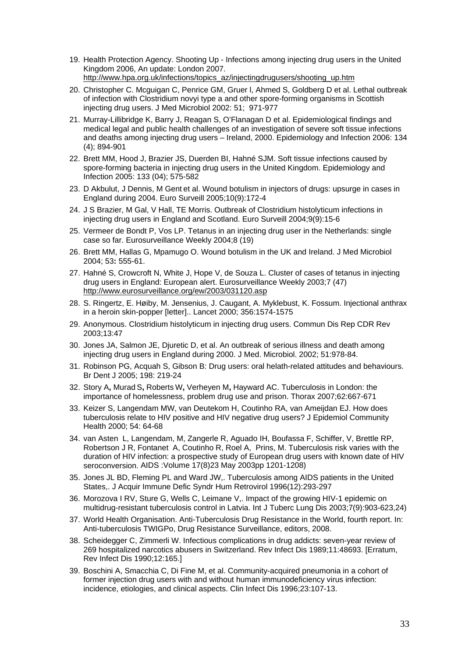- 19. Health Protection Agency. Shooting Up Infections among injecting drug users in the United Kingdom 2006, An update: London 2007. [http://www.hpa.org.uk/infections/topics\\_az/injectingdrugusers/shooting\\_up.htm](http://www.hpa.org.uk/infections/topics_az/injectingdrugusers/shooting_up.htm)
- 20. Christopher C. Mcguigan C, Penrice GM, Gruer l, Ahmed S, Goldberg D et al. Lethal outbreak of infection with Clostridium novyi type a and other spore-forming organisms in Scottish injecting drug users. J Med Microbiol 2002: 51; 971-977
- 21. Murray-Lillibridge K, Barry J, Reagan S, O'Flanagan D et al. Epidemiological findings and medical legal and public health challenges of an investigation of severe soft tissue infections and deaths among injecting drug users – Ireland, 2000. Epidemiology and Infection 2006: 134 (4); 894-901
- 22. Brett MM, Hood J, Brazier JS, Duerden BI, Hahné SJM. Soft tissue infections caused by spore-forming bacteria in injecting drug users in the United Kingdom. Epidemiology and Infection 2005: 133 (04); 575-582
- 23. D Akbulut, J Dennis, M Gent et al. Wound botulism in injectors of drugs: upsurge in cases in England during 2004. Euro Surveill 2005;10(9):172-4
- 24. J S Brazier, M Gal, V Hall, TE Morris. Outbreak of Clostridium histolyticum infections in injecting drug users in England and Scotland. Euro Surveill 2004;9(9):15-6
- 25. Vermeer de Bondt P, Vos LP. Tetanus in an injecting drug user in the Netherlands: single case so far. Eurosurveillance Weekly 2004;8 (19)
- 26. Brett MM, Hallas G, Mpamugo O. Wound botulism in the UK and Ireland. J Med Microbiol 2004; 53**:** 555-61.
- 27. Hahné S, Crowcroft N, White J, Hope V, de Souza L. Cluster of cases of tetanus in injecting drug users in England: European alert. Eurosurveillance Weekly 2003;7 (47) <http://www.eurosurveillance.org/ew/2003/031120.asp>
- 28. S. Ringertz, E. Høiby, M. Jensenius, J. Caugant, A. Myklebust, K. Fossum. Injectional anthrax in a heroin skin-popper [letter].. Lancet 2000; 356:1574-1575
- 29. Anonymous. Clostridium histolyticum in injecting drug users. Commun Dis Rep CDR Rev 2003;13:47
- 30. Jones JA, Salmon JE, Djuretic D, et al. An outbreak of serious illness and death among injecting drug users in England during 2000. J Med. Microbiol. 2002; 51:978-84.
- 31. Robinson PG, Acquah S, Gibson B: Drug users: oral helath-related attitudes and behaviours. Br Dent J 2005; 198: 219-24
- 32. Story A**,** Murad S**,** Roberts W**,** Verheyen M**,** Hayward AC. Tuberculosis in London: the importance of homelessness, problem drug use and prison. Thorax 2007;62:667-671
- 33. Keizer S, Langendam MW, van Deutekom H, Coutinho RA, van Ameijdan EJ. How does tuberculosis relate to HIV positive and HIV negative drug users? J Epidemiol Community Health 2000; 54: 64-68
- 34. van Asten L, Langendam, M, Zangerle R, Aguado IH, Boufassa F, Schiffer, V, Brettle RP, Robertson J R, Fontanet A, Coutinho R, Roel A, Prins, M. Tuberculosis risk varies with the duration of HIV infection: a prospective study of European drug users with known date of HIV seroconversion. AIDS :Volume 17(8)23 May 2003pp 1201-1208)
- 35. Jones JL BD, Fleming PL and Ward JW,. Tuberculosis among AIDS patients in the United States,. J Acquir Immune Defic Syndr Hum Retrovirol 1996(12):293-297
- 36. Morozova I RV, Sture G, Wells C, Leimane V,. Impact of the growing HIV-1 epidemic on multidrug-resistant tuberculosis control in Latvia. Int J Tuberc Lung Dis 2003;7(9):903-623,24)
- 37. World Health Organisation. Anti-Tuberculosis Drug Resistance in the World, fourth report. In: Anti-tuberculosis TWIGPo, Drug Resistance Surveillance, editors, 2008.
- 38. Scheidegger C, Zimmerli W. Infectious complications in drug addicts: seven-year review of 269 hospitalized narcotics abusers in Switzerland. Rev Infect Dis 1989;11:48693. [Erratum, Rev Infect Dis 1990;12:165.]
- 39. Boschini A, Smacchia C, Di Fine M, et al. Community-acquired pneumonia in a cohort of former injection drug users with and without human immunodeficiency virus infection: incidence, etiologies, and clinical aspects. Clin Infect Dis 1996;23:107-13.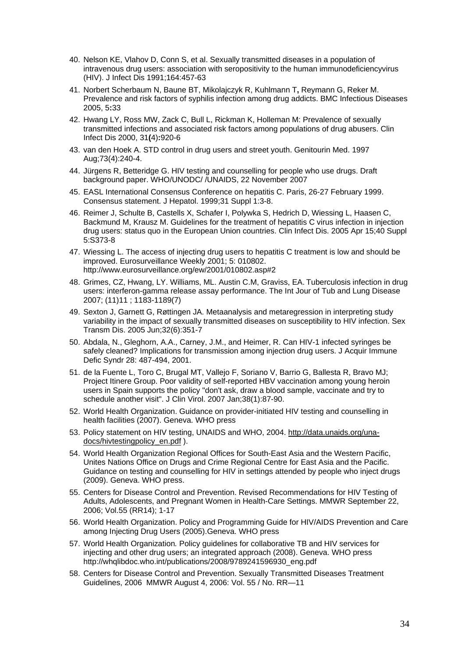- 40. Nelson KE, Vlahov D, Conn S, et al. Sexually transmitted diseases in a population of intravenous drug users: association with seropositivity to the human immunodeficiencyvirus (HIV). J Infect Dis 1991;164:457-63
- 41. Norbert Scherbaum N, Baune BT, Mikolajczyk R, Kuhlmann T**,** Reymann G, Reker M. Prevalence and risk factors of syphilis infection among drug addicts. BMC Infectious Diseases 2005, 5**:**33
- 42. Hwang LY, Ross MW, Zack C, Bull L, Rickman K, Holleman M: Prevalence of sexually transmitted infections and associated risk factors among populations of drug abusers. Clin Infect Dis 2000, 31**(**4)**:**920-6
- 43. van den Hoek A. STD control in drug users and street youth. Genitourin Med. 1997 Aug;73(4):240-4.
- 44. Jürgens R, Betteridge G. HIV testing and counselling for people who use drugs. Draft background paper. WHO/UNODC/ /UNAIDS, 22 November 2007
- 45. EASL International Consensus Conference on hepatitis C. Paris, 26-27 February 1999. Consensus statement. J Hepatol. 1999;31 Suppl 1:3-8.
- 46. Reimer J, Schulte B, Castells X, Schafer I, Polywka S, Hedrich D, Wiessing L, Haasen C, Backmund M, Krausz M. Guidelines for the treatment of hepatitis C virus infection in injection drug users: status quo in the European Union countries. Clin Infect Dis. 2005 Apr 15;40 Suppl 5:S373-8
- 47. Wiessing L. The access of injecting drug users to hepatitis C treatment is low and should be improved. Eurosurveillance Weekly 2001; 5: 010802. http://www.eurosurveillance.org/ew/2001/010802.asp#2
- 48. Grimes, CZ, Hwang, LY. Williams, ML. Austin C.M, Graviss, EA. Tuberculosis infection in drug users: interferon-gamma release assay performance. The Int Jour of Tub and Lung Disease 2007; (11)11 ; 1183-1189(7)
- 49. Sexton J, Garnett G, [Røttingen JA.](http://www.ncbi.nlm.nih.gov/sites/entrez?Db=pubmed&Cmd=Search&Term=%22R%C3%B8ttingen%20JA%22%5BAuthor%5D&itool=EntrezSystem2.PEntrez.Pubmed.Pubmed_ResultsPanel.Pubmed_DiscoveryPanel.Pubmed_RVAbstractPlus) Metaanalysis and metaregression in interpreting study variability in the impact of sexually transmitted diseases on susceptibility to HIV infection. Sex Transm Dis. 2005 Jun;32(6):351-7
- 50. Abdala, N., Gleghorn, A.A., Carney, J.M., and Heimer, R. Can HIV-1 infected syringes be safely cleaned? Implications for transmission among injection drug users. J Acquir Immune Defic Syndr 28: 487-494, 2001.
- 51. de la Fuente L, Toro C, Brugal MT, Vallejo F, Soriano V, Barrio G, Ballesta R, Bravo MJ; Project Itinere Group. Poor validity of self-reported HBV vaccination among young heroin users in Spain supports the policy "don't ask, draw a blood sample, vaccinate and try to schedule another visit". J Clin Virol. 2007 Jan;38(1):87-90.
- 52. World Health Organization. Guidance on provider-initiated HIV testing and counselling in health facilities (2007). Geneva. WHO press
- 53. Policy statement on HIV testing, UNAIDS and WHO, 2004. [http://data.unaids.org/una](http://data.unaids.org/una-docs/hivtestingpolicy_en.pdf)[docs/hivtestingpolicy\\_en.pdf](http://data.unaids.org/una-docs/hivtestingpolicy_en.pdf) ).
- 54. World Health Organization Regional Offices for South-East Asia and the Western Pacific, Unites Nations Office on Drugs and Crime Regional Centre for East Asia and the Pacific. Guidance on testing and counselling for HIV in settings attended by people who inject drugs (2009). Geneva. WHO press.
- 55. Centers for Disease Control and Prevention. Revised Recommendations for HIV Testing of Adults, Adolescents, and Pregnant Women in Health-Care Settings. MMWR September 22, 2006; Vol.55 (RR14); 1-17
- 56. World Health Organization. Policy and Programming Guide for HIV/AIDS Prevention and Care among Injecting Drug Users (2005).Geneva. WHO press
- 57. World Health Organization*.* Policy guidelines for collaborative TB and HIV services for injecting and other drug users; an integrated approach (2008). Geneva. WHO press http://whqlibdoc.who.int/publications/2008/9789241596930\_eng.pdf
- 58. Centers for Disease Control and Prevention. Sexually Transmitted Diseases Treatment Guidelines, 2006 MMWR August 4, 2006: Vol. 55 / No. RR—11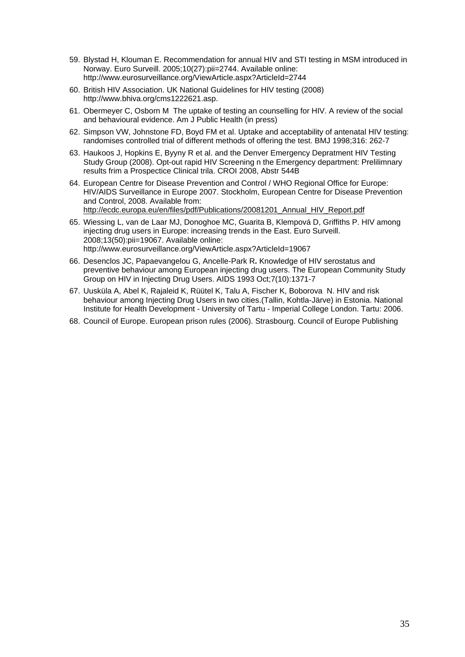- 59. Blystad H, Klouman E. Recommendation for annual HIV and STI testing in MSM introduced in Norway. Euro Surveill. 2005;10(27):pii=2744. Available online: http://www.eurosurveillance.org/ViewArticle.aspx?ArticleId=2744
- 60. British HIV Association. UK National Guidelines for HIV testing (2008) http://www.bhiva.org/cms1222621.asp.
- 61. Obermeyer C, Osborn M The uptake of testing an counselling for HIV. A review of the social and behavioural evidence. Am J Public Health (in press)
- 62. Simpson VW, Johnstone FD, Boyd FM et al. Uptake and acceptability of antenatal HIV testing: randomises controlled trial of different methods of offering the test. BMJ 1998;316: 262-7
- 63. Haukoos J, Hopkins E, Byyny R et al. and the Denver Emergency Depratment HIV Testing Study Group (2008). Opt-out rapid HIV Screening n the Emergency department: Prelilimnary results frim a Prospectice Clinical trila. CROI 2008, Abstr 544B
- 64. European Centre for Disease Prevention and Control / WHO Regional Office for Europe: HIV/AIDS Surveillance in Europe 2007. Stockholm, European Centre for Disease Prevention and Control, 2008. Available from: [http://ecdc.europa.eu/en/files/pdf/Publications/20081201\\_Annual\\_HIV\\_Report.pdf](http://ecdc.europa.eu/en/files/pdf/Publications/20081201_Annual_HIV_Report.pdf)
- 65. Wiessing L, van de Laar MJ, Donoghoe MC, Guarita B, Klempová D, Griffiths P. HIV among injecting drug users in Europe: increasing trends in the East. Euro Surveill. 2008;13(50):pii=19067. Available online: http://www.eurosurveillance.org/ViewArticle.aspx?ArticleId=19067
- 66. [Desenclos JC,](http://www.ncbi.nlm.nih.gov/sites/entrez?Db=pubmed&Cmd=Search&Term=%22Desenclos%20JC%22%5BAuthor%5D&itool=EntrezSystem2.PEntrez.Pubmed.Pubmed_ResultsPanel.Pubmed_DiscoveryPanel.Pubmed_RVAbstractPlus) [Papaevangelou G](http://www.ncbi.nlm.nih.gov/sites/entrez?Db=pubmed&Cmd=Search&Term=%22Papaevangelou%20G%22%5BAuthor%5D&itool=EntrezSystem2.PEntrez.Pubmed.Pubmed_ResultsPanel.Pubmed_DiscoveryPanel.Pubmed_RVAbstractPlus), [Ancelle-Park R](http://www.ncbi.nlm.nih.gov/sites/entrez?Db=pubmed&Cmd=Search&Term=%22Ancelle-Park%20R%22%5BAuthor%5D&itool=EntrezSystem2.PEntrez.Pubmed.Pubmed_ResultsPanel.Pubmed_DiscoveryPanel.Pubmed_RVAbstractPlus)**.** Knowledge of HIV serostatus and preventive behaviour among European injecting drug users. The European Community Study Group on HIV in Injecting Drug Users. AIDS 1993 Oct;7(10):1371-7
- 67. Uusküla A, Abel K, Rajaleid K, Rüütel K, Talu A, Fischer K, Boborova N. HIV and risk behaviour among Injecting Drug Users in two cities.(Tallin, Kohtla-Järve) in Estonia. National Institute for Health Development - University of Tartu - Imperial College London. Tartu: 2006.
- 68. Council of Europe. European prison rules (2006). Strasbourg. Council of Europe Publishing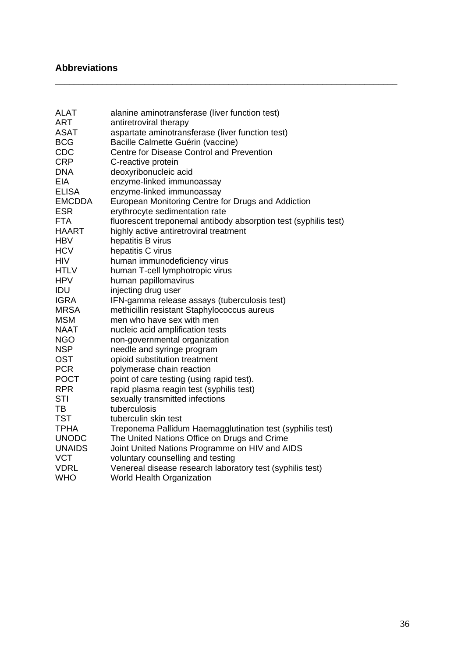## **Abbreviations**

| <b>ALAT</b>   | alanine aminotransferase (liver function test)                  |
|---------------|-----------------------------------------------------------------|
| <b>ART</b>    | antiretroviral therapy                                          |
| <b>ASAT</b>   | aspartate aminotransferase (liver function test)                |
| <b>BCG</b>    | Bacille Calmette Guérin (vaccine)                               |
| <b>CDC</b>    | Centre for Disease Control and Prevention                       |
| <b>CRP</b>    | C-reactive protein                                              |
| <b>DNA</b>    | deoxyribonucleic acid                                           |
| EIA           | enzyme-linked immunoassay                                       |
| <b>ELISA</b>  | enzyme-linked immunoassay                                       |
| <b>EMCDDA</b> | European Monitoring Centre for Drugs and Addiction              |
| <b>ESR</b>    | erythrocyte sedimentation rate                                  |
| <b>FTA</b>    | fluorescent treponemal antibody absorption test (syphilis test) |
| <b>HAART</b>  | highly active antiretroviral treatment                          |
| <b>HBV</b>    | hepatitis B virus                                               |
| <b>HCV</b>    | hepatitis C virus                                               |
| <b>HIV</b>    | human immunodeficiency virus                                    |
| <b>HTLV</b>   | human T-cell lymphotropic virus                                 |
| <b>HPV</b>    | human papillomavirus                                            |
| IDU           | injecting drug user                                             |
| <b>IGRA</b>   | IFN-gamma release assays (tuberculosis test)                    |
| <b>MRSA</b>   | methicillin resistant Staphylococcus aureus                     |
| <b>MSM</b>    | men who have sex with men                                       |
| <b>NAAT</b>   | nucleic acid amplification tests                                |
| <b>NGO</b>    | non-governmental organization                                   |
| <b>NSP</b>    | needle and syringe program                                      |
| <b>OST</b>    | opioid substitution treatment                                   |
| <b>PCR</b>    | polymerase chain reaction                                       |
| <b>POCT</b>   | point of care testing (using rapid test).                       |
| <b>RPR</b>    | rapid plasma reagin test (syphilis test)                        |
| STI           | sexually transmitted infections                                 |
| TB            | tuberculosis                                                    |
| <b>TST</b>    | tuberculin skin test                                            |
|               |                                                                 |
|               |                                                                 |
| <b>TPHA</b>   | Treponema Pallidum Haemagglutination test (syphilis test)       |
| <b>UNODC</b>  | The United Nations Office on Drugs and Crime                    |
| <b>UNAIDS</b> | Joint United Nations Programme on HIV and AIDS                  |
| <b>VCT</b>    | voluntary counselling and testing                               |
| <b>VDRL</b>   | Venereal disease research laboratory test (syphilis test)       |
| <b>WHO</b>    | <b>World Health Organization</b>                                |